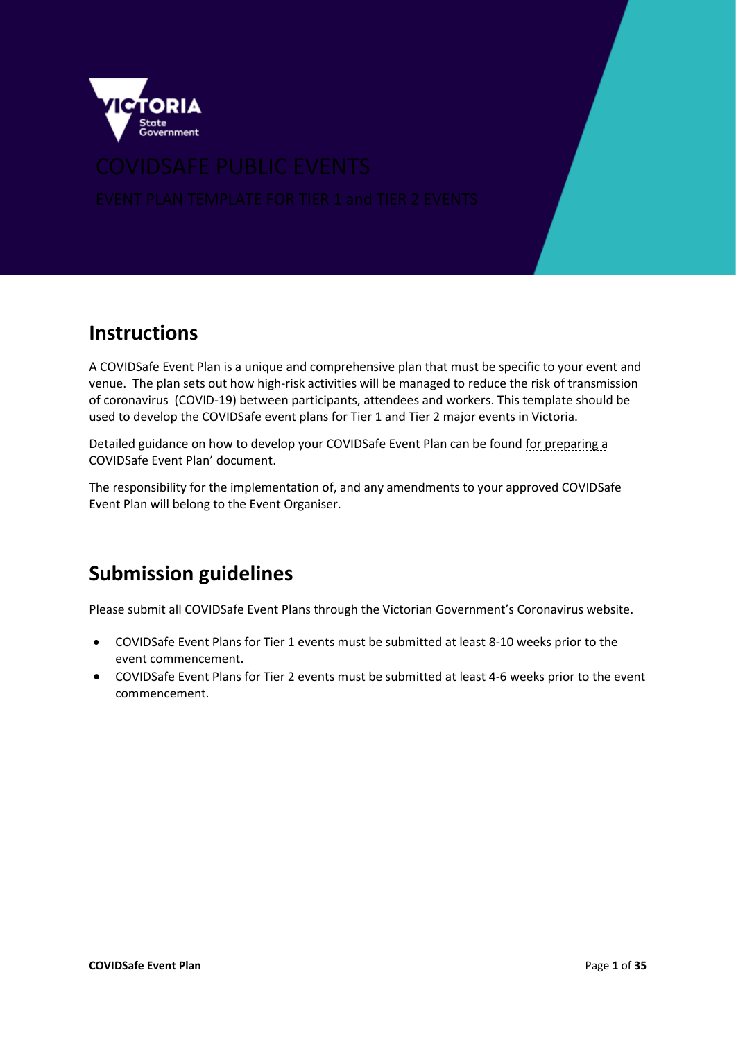

## **Instructions**

A COVIDSafe Event Plan is a unique and comprehensive plan that must be specific to your event and venue. The plan sets out how high-risk activities will be managed to reduce the risk of transmission of coronavirus (COVID-19) between participants, attendees and workers. This template should be used to develop the COVIDSafe event plans for Tier 1 and Tier 2 major events in Victoria.

Detailed guidance on how to develop your COVIDSafe Event Plan can be found [for preparing a](https://www.coronavirus.vic.gov.au/public-events-information-organisers)  [COVIDSafe Event Plan](https://www.coronavirus.vic.gov.au/public-events-information-organisers)' document.

The responsibility for the implementation of, and any amendments to your approved COVIDSafe Event Plan will belong to the Event Organiser.

## **Submission guidelines**

Please submit all COVIDSafe Event Plans through the Victorian Government's [Coronavirus website.](https://www.coronavirus.vic.gov.au/covidsafe-plan-events)

- COVIDSafe Event Plans for Tier 1 events must be submitted at least 8-10 weeks prior to the event commencement.
- COVIDSafe Event Plans for Tier 2 events must be submitted at least 4-6 weeks prior to the event commencement.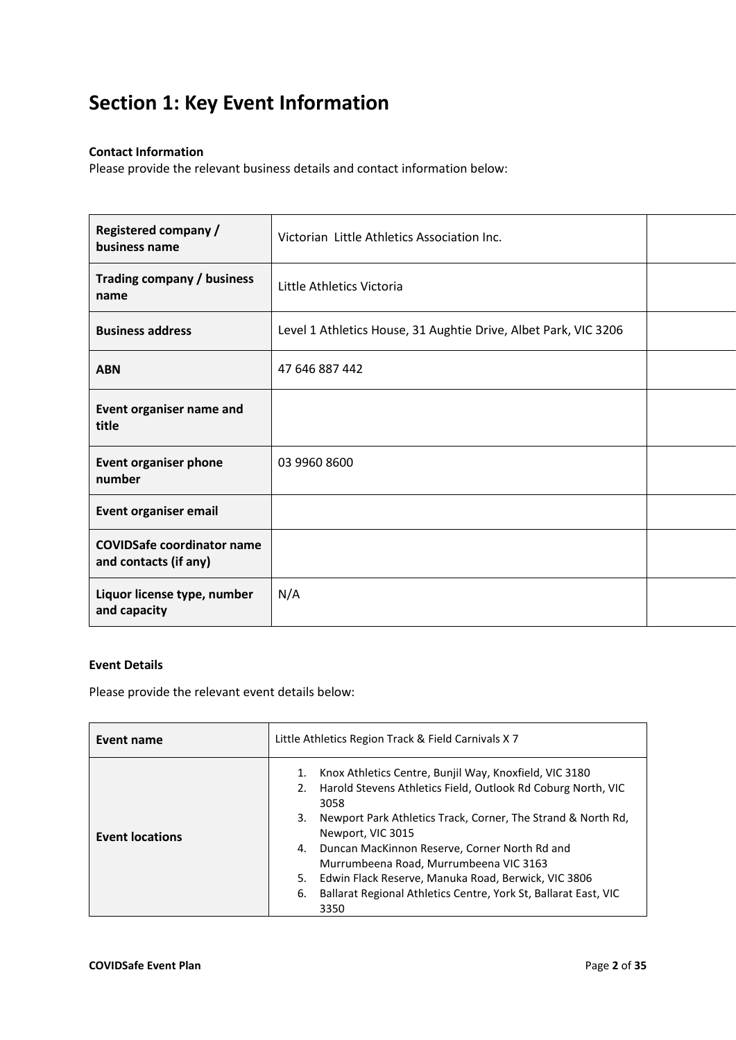## **Section 1: Key Event Information**

### **Contact Information**

Please provide the relevant business details and contact information below:

| <b>Registered company /</b><br>business name               | Victorian Little Athletics Association Inc.                     |  |
|------------------------------------------------------------|-----------------------------------------------------------------|--|
| Trading company / business<br>name                         | Little Athletics Victoria                                       |  |
| <b>Business address</b>                                    | Level 1 Athletics House, 31 Aughtie Drive, Albet Park, VIC 3206 |  |
| <b>ABN</b>                                                 | 47 646 887 442                                                  |  |
| Event organiser name and<br>title                          |                                                                 |  |
| <b>Event organiser phone</b><br>number                     | 03 9960 8600                                                    |  |
| <b>Event organiser email</b>                               |                                                                 |  |
| <b>COVIDSafe coordinator name</b><br>and contacts (if any) |                                                                 |  |
| Liquor license type, number<br>and capacity                | N/A                                                             |  |

#### **Event Details**

Please provide the relevant event details below:

| Event name             | Little Athletics Region Track & Field Carnivals X 7                                                                                                                                                                                                                                                                                                                                                                                                                                  |  |  |
|------------------------|--------------------------------------------------------------------------------------------------------------------------------------------------------------------------------------------------------------------------------------------------------------------------------------------------------------------------------------------------------------------------------------------------------------------------------------------------------------------------------------|--|--|
| <b>Event locations</b> | Knox Athletics Centre, Bunjil Way, Knoxfield, VIC 3180<br>1.<br>Harold Stevens Athletics Field, Outlook Rd Coburg North, VIC<br>2.<br>3058<br>Newport Park Athletics Track, Corner, The Strand & North Rd,<br>3.<br>Newport, VIC 3015<br>Duncan MacKinnon Reserve, Corner North Rd and<br>4.<br>Murrumbeena Road, Murrumbeena VIC 3163<br>Edwin Flack Reserve, Manuka Road, Berwick, VIC 3806<br>5.<br>Ballarat Regional Athletics Centre, York St, Ballarat East, VIC<br>6.<br>3350 |  |  |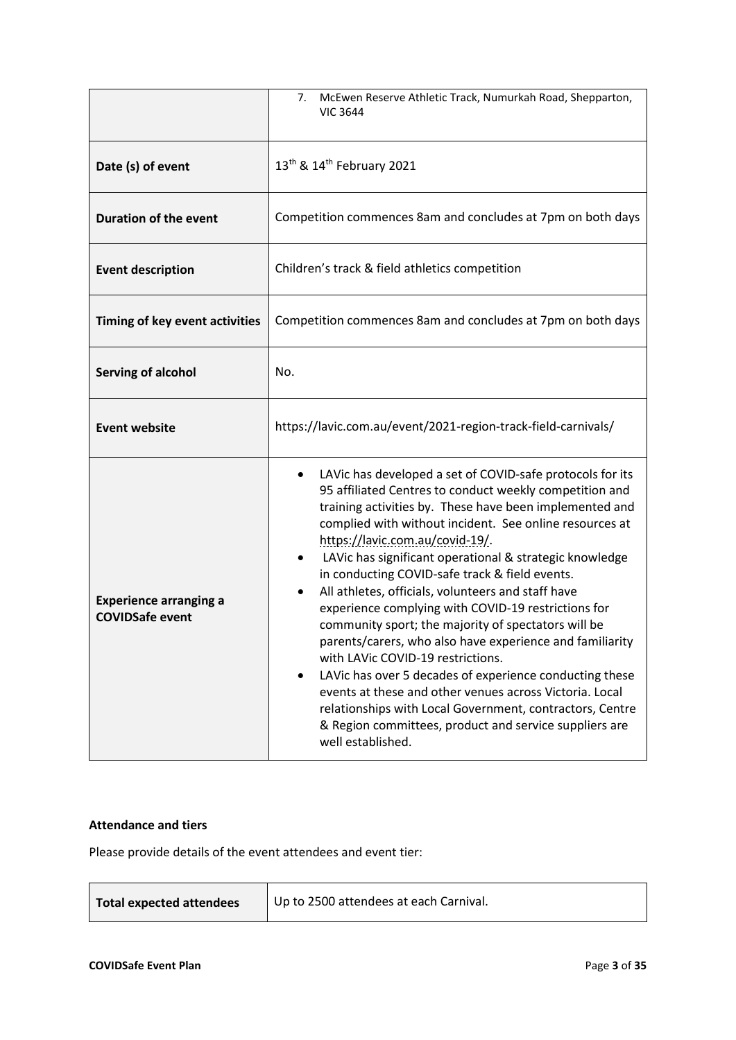|                                                         | McEwen Reserve Athletic Track, Numurkah Road, Shepparton,<br>7.<br><b>VIC 3644</b>                                                                                                                                                                                                                                                                                                                                                                                                                                                                                                                                                                                                                                                                                                                                                                                                                                                                              |  |  |
|---------------------------------------------------------|-----------------------------------------------------------------------------------------------------------------------------------------------------------------------------------------------------------------------------------------------------------------------------------------------------------------------------------------------------------------------------------------------------------------------------------------------------------------------------------------------------------------------------------------------------------------------------------------------------------------------------------------------------------------------------------------------------------------------------------------------------------------------------------------------------------------------------------------------------------------------------------------------------------------------------------------------------------------|--|--|
| Date (s) of event                                       | 13 <sup>th</sup> & 14 <sup>th</sup> February 2021                                                                                                                                                                                                                                                                                                                                                                                                                                                                                                                                                                                                                                                                                                                                                                                                                                                                                                               |  |  |
| <b>Duration of the event</b>                            | Competition commences 8am and concludes at 7pm on both days                                                                                                                                                                                                                                                                                                                                                                                                                                                                                                                                                                                                                                                                                                                                                                                                                                                                                                     |  |  |
| <b>Event description</b>                                | Children's track & field athletics competition                                                                                                                                                                                                                                                                                                                                                                                                                                                                                                                                                                                                                                                                                                                                                                                                                                                                                                                  |  |  |
| Timing of key event activities                          | Competition commences 8am and concludes at 7pm on both days                                                                                                                                                                                                                                                                                                                                                                                                                                                                                                                                                                                                                                                                                                                                                                                                                                                                                                     |  |  |
| <b>Serving of alcohol</b>                               | No.                                                                                                                                                                                                                                                                                                                                                                                                                                                                                                                                                                                                                                                                                                                                                                                                                                                                                                                                                             |  |  |
| <b>Event website</b>                                    | https://lavic.com.au/event/2021-region-track-field-carnivals/                                                                                                                                                                                                                                                                                                                                                                                                                                                                                                                                                                                                                                                                                                                                                                                                                                                                                                   |  |  |
| <b>Experience arranging a</b><br><b>COVIDSafe event</b> | LAVic has developed a set of COVID-safe protocols for its<br>$\bullet$<br>95 affiliated Centres to conduct weekly competition and<br>training activities by. These have been implemented and<br>complied with without incident. See online resources at<br>https://lavic.com.au/covid-19/.<br>LAVic has significant operational & strategic knowledge<br>$\bullet$<br>in conducting COVID-safe track & field events.<br>All athletes, officials, volunteers and staff have<br>٠<br>experience complying with COVID-19 restrictions for<br>community sport; the majority of spectators will be<br>parents/carers, who also have experience and familiarity<br>with LAVic COVID-19 restrictions.<br>LAVic has over 5 decades of experience conducting these<br>events at these and other venues across Victoria. Local<br>relationships with Local Government, contractors, Centre<br>& Region committees, product and service suppliers are<br>well established. |  |  |

#### **Attendance and tiers**

Please provide details of the event attendees and event tier:

| Total expected attendees | Up to 2500 attendees at each Carnival. |
|--------------------------|----------------------------------------|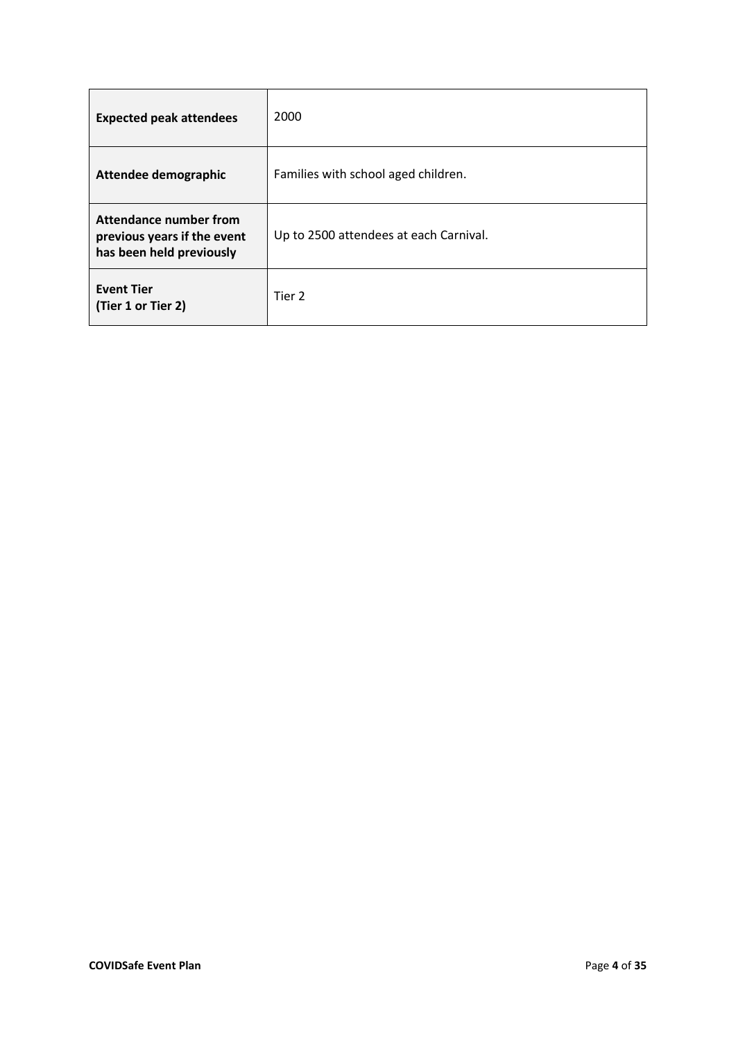| <b>Expected peak attendees</b>                                                    | 2000                                   |
|-----------------------------------------------------------------------------------|----------------------------------------|
| Attendee demographic                                                              | Families with school aged children.    |
| Attendance number from<br>previous years if the event<br>has been held previously | Up to 2500 attendees at each Carnival. |
| <b>Event Tier</b><br>(Tier 1 or Tier 2)                                           | Tier 2                                 |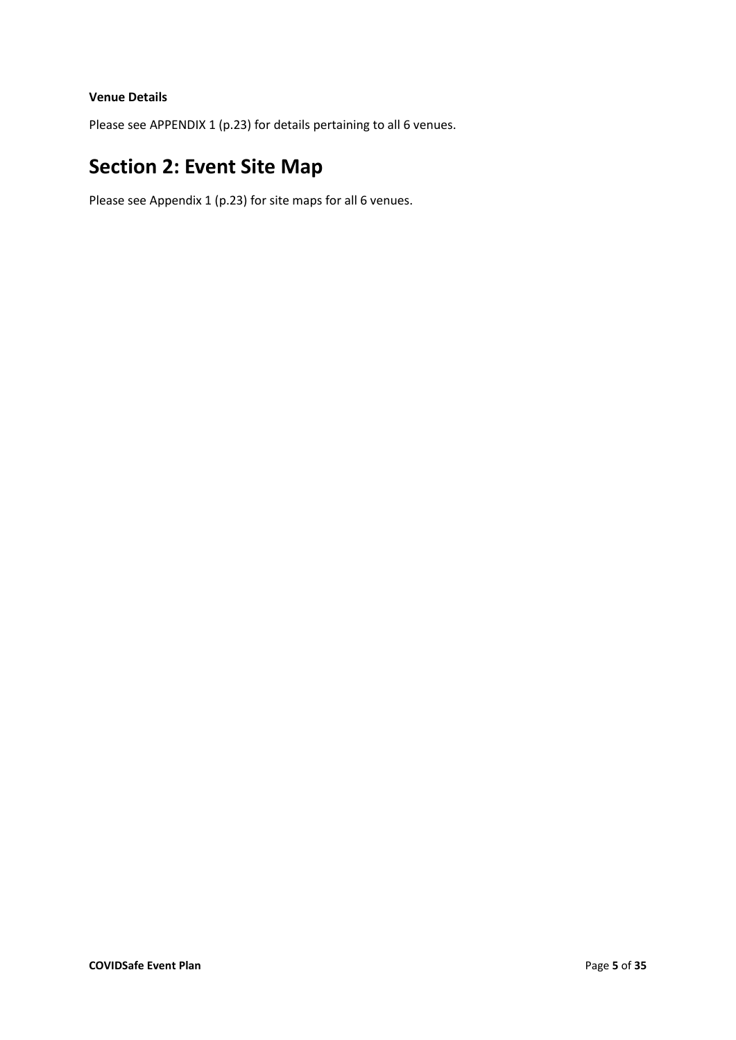#### **Venue Details**

Please see APPENDIX 1 (p.23) for details pertaining to all 6 venues.

## **Section 2: Event Site Map**

Please see Appendix 1 (p.23) for site maps for all 6 venues.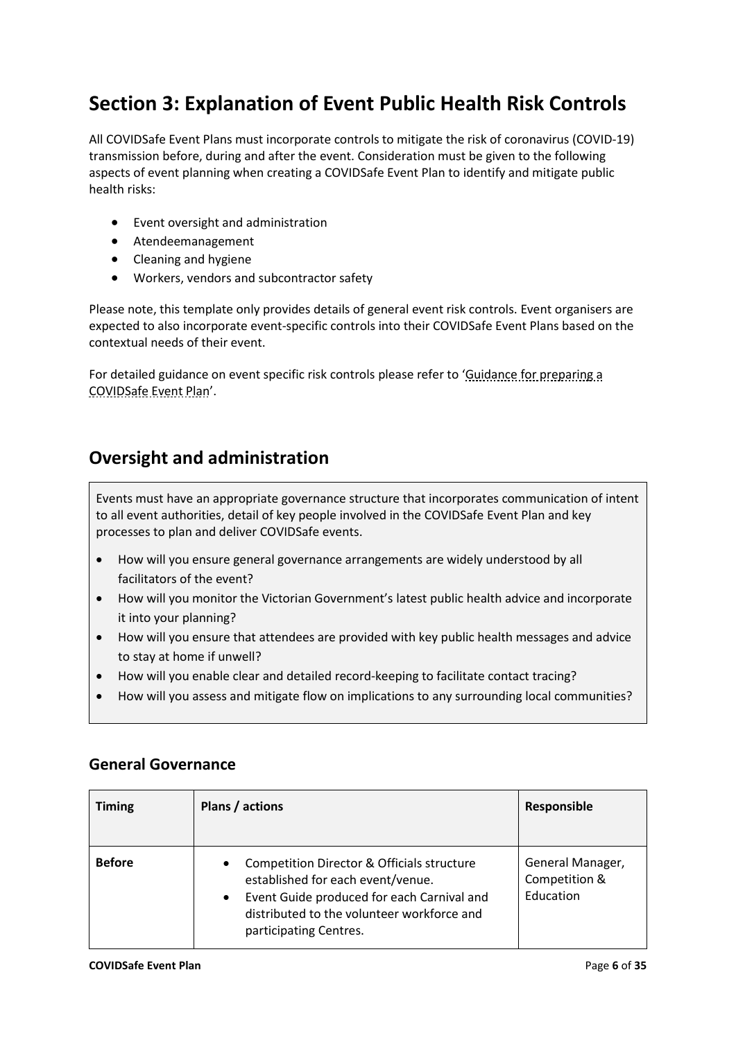## **Section 3: Explanation of Event Public Health Risk Controls**

All COVIDSafe Event Plans must incorporate controls to mitigate the risk of coronavirus (COVID-19) transmission before, during and after the event. Consideration must be given to the following aspects of event planning when creating a COVIDSafe Event Plan to identify and mitigate public health risks:

- Event oversight and administration
- Atendeemanagement
- Cleaning and hygiene
- Workers, vendors and subcontractor safety

Please note, this template only provides details of general event risk controls. Event organisers are expected to also incorporate event-specific controls into their COVIDSafe Event Plans based on the contextual needs of their event.

For detailed guidance on event specific risk controls please refer to '[Guidance for preparing a](https://www.coronavirus.vic.gov.au/covidsafe-plan-events)  [COVIDSafe Event Plan](https://www.coronavirus.vic.gov.au/covidsafe-plan-events)'.

### **Oversight and administration**

Events must have an appropriate governance structure that incorporates communication of intent to all event authorities, detail of key people involved in the COVIDSafe Event Plan and key processes to plan and deliver COVIDSafe events.

- How will you ensure general governance arrangements are widely understood by all facilitators of the event?
- How will you monitor the Victorian Government's latest public health advice and incorporate it into your planning?
- How will you ensure that attendees are provided with key public health messages and advice to stay at home if unwell?
- How will you enable clear and detailed record-keeping to facilitate contact tracing?
- How will you assess and mitigate flow on implications to any surrounding local communities?

| <b>Timing</b> | Plans / actions                                                                                                                                                                                                                 | Responsible                                    |
|---------------|---------------------------------------------------------------------------------------------------------------------------------------------------------------------------------------------------------------------------------|------------------------------------------------|
| <b>Before</b> | Competition Director & Officials structure<br>$\bullet$<br>established for each event/venue.<br>Event Guide produced for each Carnival and<br>$\bullet$<br>distributed to the volunteer workforce and<br>participating Centres. | General Manager,<br>Competition &<br>Education |

### **General Governance**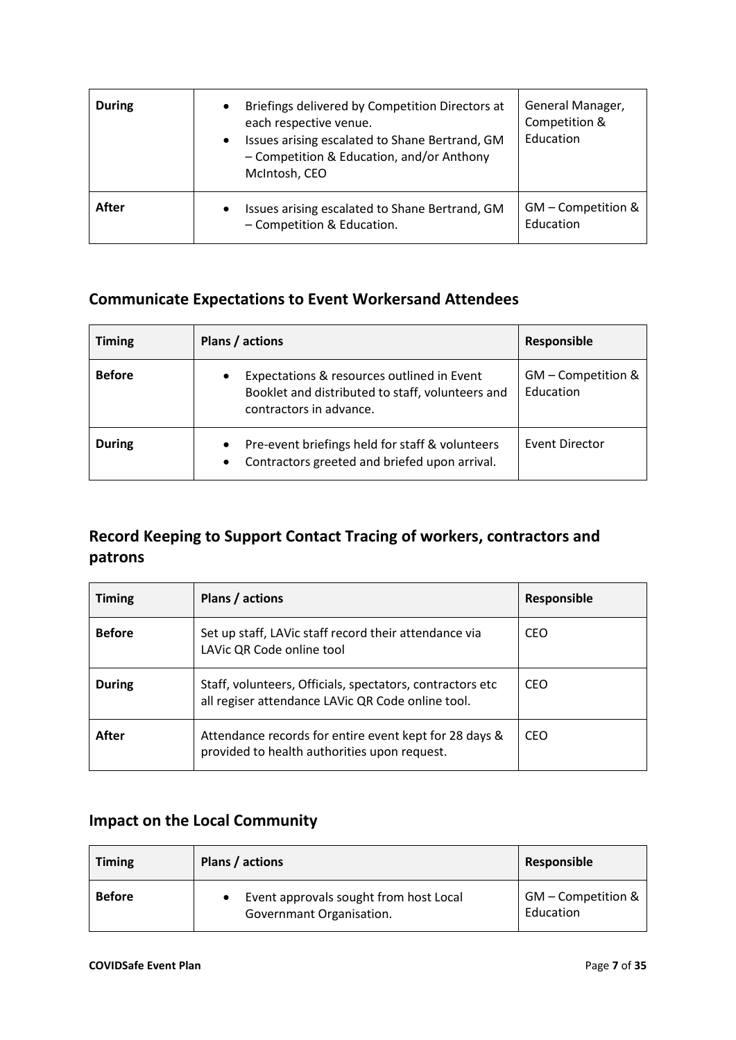| <b>During</b> | Briefings delivered by Competition Directors at<br>٠<br>each respective venue.<br>Issues arising escalated to Shane Bertrand, GM<br>$\bullet$<br>- Competition & Education, and/or Anthony<br>McIntosh, CEO | General Manager,<br>Competition &<br>Education |
|---------------|-------------------------------------------------------------------------------------------------------------------------------------------------------------------------------------------------------------|------------------------------------------------|
| After         | Issues arising escalated to Shane Bertrand, GM<br>$\bullet$<br>- Competition & Education.                                                                                                                   | GM - Competition &<br>Education                |

### **Communicate Expectations to Event Workersand Attendees**

| <b>Timing</b> | Plans / actions                                                                                                                | Responsible                     |
|---------------|--------------------------------------------------------------------------------------------------------------------------------|---------------------------------|
| <b>Before</b> | Expectations & resources outlined in Event<br>٠<br>Booklet and distributed to staff, volunteers and<br>contractors in advance. | GM - Competition &<br>Education |
| <b>During</b> | Pre-event briefings held for staff & volunteers<br>$\bullet$<br>Contractors greeted and briefed upon arrival.<br>$\bullet$     | Event Director                  |

### **Record Keeping to Support Contact Tracing of workers, contractors and patrons**

| <b>Timing</b> | Plans / actions                                                                                                 | Responsible |
|---------------|-----------------------------------------------------------------------------------------------------------------|-------------|
| <b>Before</b> | Set up staff, LAVic staff record their attendance via<br>LAVic QR Code online tool                              | CEO         |
| <b>During</b> | Staff, volunteers, Officials, spectators, contractors etc.<br>all regiser attendance LAVic QR Code online tool. | CEO         |
| After         | Attendance records for entire event kept for 28 days &<br>provided to health authorities upon request.          | CEO         |

### **Impact on the Local Community**

| <b>Timing</b> | Plans / actions                                                    | Responsible                     |
|---------------|--------------------------------------------------------------------|---------------------------------|
| <b>Before</b> | Event approvals sought from host Local<br>Governmant Organisation. | GM - Competition &<br>Education |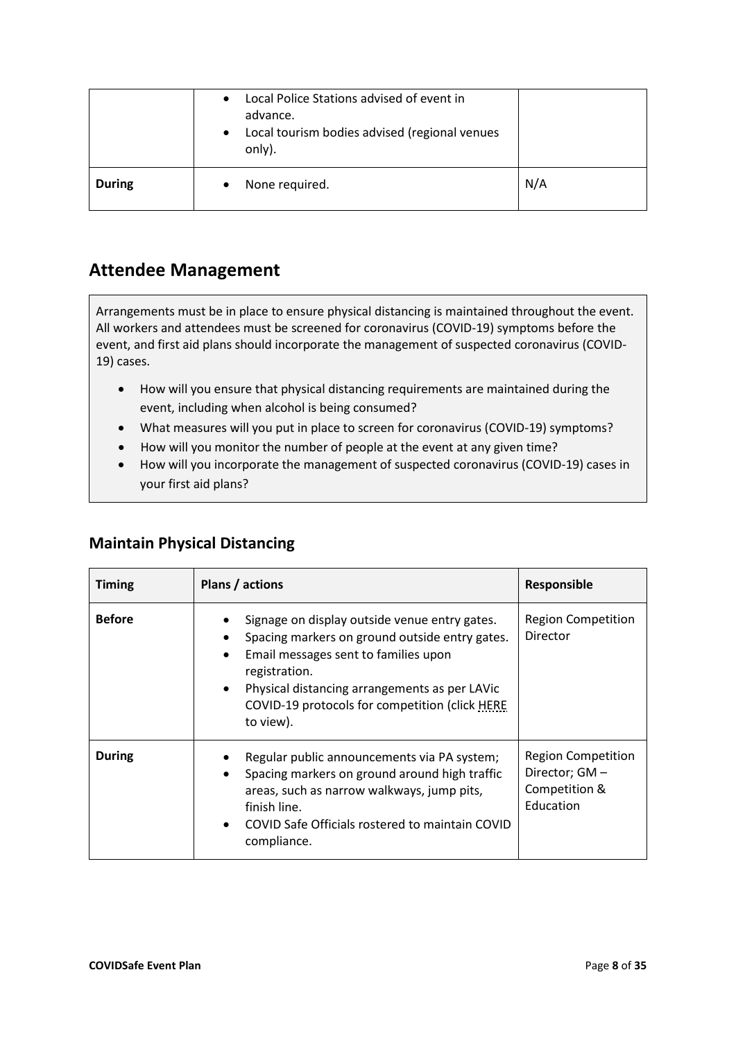|               | Local Police Stations advised of event in<br>$\bullet$<br>advance.<br>Local tourism bodies advised (regional venues<br>$\bullet$<br>only). |     |
|---------------|--------------------------------------------------------------------------------------------------------------------------------------------|-----|
| <b>During</b> | None required.                                                                                                                             | N/A |

### **Attendee Management**

Arrangements must be in place to ensure physical distancing is maintained throughout the event. All workers and attendees must be screened for coronavirus (COVID-19) symptoms before the event, and first aid plans should incorporate the management of suspected coronavirus (COVID-19) cases.

- How will you ensure that physical distancing requirements are maintained during the event, including when alcohol is being consumed?
- What measures will you put in place to screen for coronavirus (COVID-19) symptoms?
- How will you monitor the number of people at the event at any given time?
- How will you incorporate the management of suspected coronavirus (COVID-19) cases in your first aid plans?

| <b>Timing</b> | Plans / actions                                                                                                                                                                                                                                                                                         | Responsible                                                               |
|---------------|---------------------------------------------------------------------------------------------------------------------------------------------------------------------------------------------------------------------------------------------------------------------------------------------------------|---------------------------------------------------------------------------|
| <b>Before</b> | Signage on display outside venue entry gates.<br>Spacing markers on ground outside entry gates.<br>٠<br>Email messages sent to families upon<br>$\bullet$<br>registration.<br>Physical distancing arrangements as per LAVic<br>$\bullet$<br>COVID-19 protocols for competition (click HERE<br>to view). | <b>Region Competition</b><br>Director                                     |
| <b>During</b> | Regular public announcements via PA system;<br>Spacing markers on ground around high traffic<br>$\bullet$<br>areas, such as narrow walkways, jump pits,<br>finish line.<br>COVID Safe Officials rostered to maintain COVID<br>$\bullet$<br>compliance.                                                  | <b>Region Competition</b><br>Director; GM -<br>Competition &<br>Education |

### **Maintain Physical Distancing**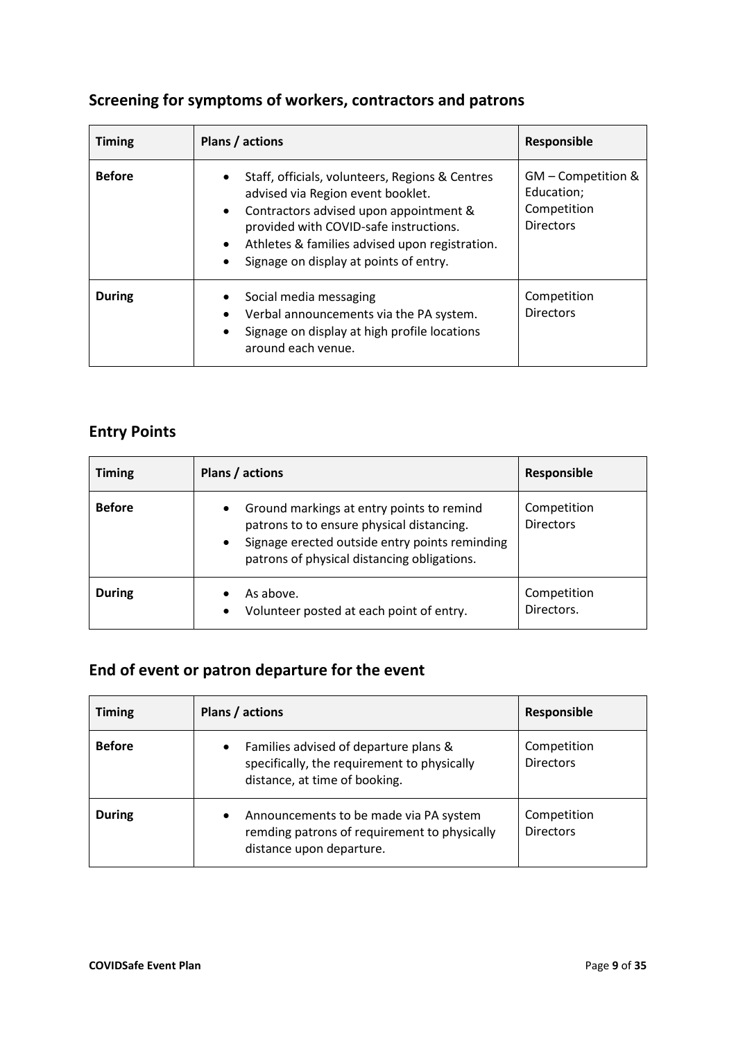| <b>Timing</b> | Plans / actions                                                                                                                                          | Responsible                                     |
|---------------|----------------------------------------------------------------------------------------------------------------------------------------------------------|-------------------------------------------------|
| <b>Before</b> | Staff, officials, volunteers, Regions & Centres<br>$\bullet$<br>advised via Region event booklet.<br>Contractors advised upon appointment &<br>$\bullet$ | GM - Competition &<br>Education;<br>Competition |

• Signage on display at points of entry.

around each venue.

provided with COVID-safe instructions. • Athletes & families advised upon registration.

• Verbal announcements via the PA system. • Signage on display at high profile locations Directors

Competition Directors

### **Screening for symptoms of workers, contractors and patrons**

### **Entry Points**

| <b>Timing</b> | Plans / actions                                                                                                                                                                                                   | Responsible                     |
|---------------|-------------------------------------------------------------------------------------------------------------------------------------------------------------------------------------------------------------------|---------------------------------|
| <b>Before</b> | Ground markings at entry points to remind<br>$\bullet$<br>patrons to to ensure physical distancing.<br>Signage erected outside entry points reminding<br>$\bullet$<br>patrons of physical distancing obligations. | Competition<br><b>Directors</b> |
| <b>During</b> | As above.<br>Volunteer posted at each point of entry.<br>$\bullet$                                                                                                                                                | Competition<br>Directors.       |

### **End of event or patron departure for the event**

**During | •** Social media messaging

| <b>Timing</b> | Plans / actions                                                                                                                    | Responsible                     |
|---------------|------------------------------------------------------------------------------------------------------------------------------------|---------------------------------|
| <b>Before</b> | Families advised of departure plans &<br>$\bullet$<br>specifically, the requirement to physically<br>distance, at time of booking. | Competition<br><b>Directors</b> |
| <b>During</b> | Announcements to be made via PA system<br>$\bullet$<br>remding patrons of requirement to physically<br>distance upon departure.    | Competition<br><b>Directors</b> |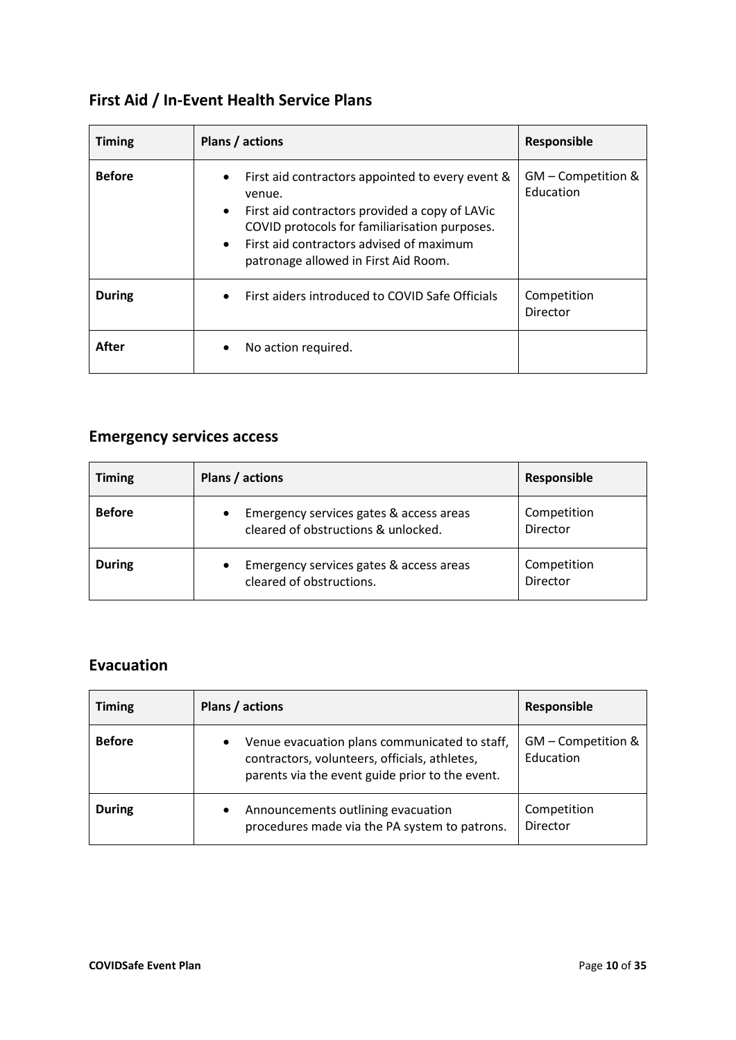## **First Aid / In-Event Health Service Plans**

| <b>Timing</b> | Plans / actions                                                                                                                                                                                                                                                                          | Responsible                     |
|---------------|------------------------------------------------------------------------------------------------------------------------------------------------------------------------------------------------------------------------------------------------------------------------------------------|---------------------------------|
| <b>Before</b> | First aid contractors appointed to every event &<br>$\bullet$<br>venue.<br>First aid contractors provided a copy of LAVic<br>$\bullet$<br>COVID protocols for familiarisation purposes.<br>First aid contractors advised of maximum<br>$\bullet$<br>patronage allowed in First Aid Room. | GM - Competition &<br>Education |
| During        | First aiders introduced to COVID Safe Officials<br>$\bullet$                                                                                                                                                                                                                             | Competition<br>Director         |
| After         | No action required.<br>$\bullet$                                                                                                                                                                                                                                                         |                                 |

## **Emergency services access**

| <b>Timing</b> | Plans / actions                                                                             | Responsible             |
|---------------|---------------------------------------------------------------------------------------------|-------------------------|
| <b>Before</b> | Emergency services gates & access areas<br>$\bullet$<br>cleared of obstructions & unlocked. | Competition<br>Director |
| <b>During</b> | Emergency services gates & access areas<br>$\bullet$<br>cleared of obstructions.            | Competition<br>Director |

### **Evacuation**

| <b>Timing</b> | Plans / actions                                                                                                                                        | Responsible                     |
|---------------|--------------------------------------------------------------------------------------------------------------------------------------------------------|---------------------------------|
| <b>Before</b> | Venue evacuation plans communicated to staff,<br>٠<br>contractors, volunteers, officials, athletes,<br>parents via the event guide prior to the event. | GM - Competition &<br>Education |
| <b>During</b> | Announcements outlining evacuation<br>$\bullet$<br>procedures made via the PA system to patrons.                                                       | Competition<br>Director         |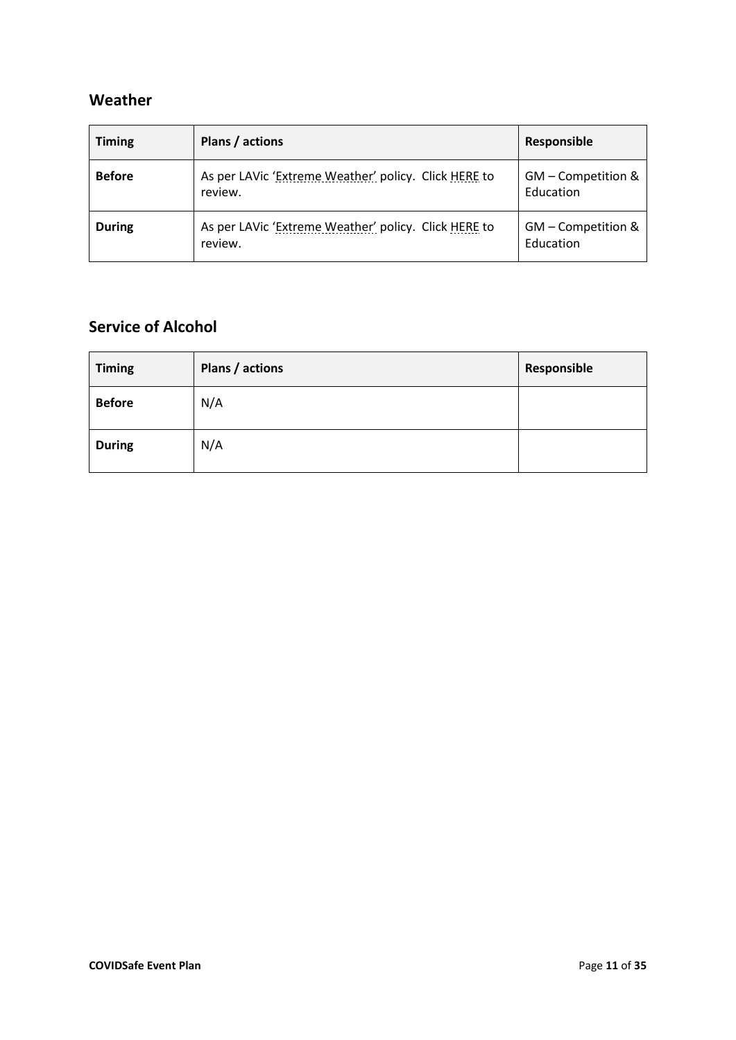### **Weather**

| <b>Timing</b> | Plans / actions                                                 | Responsible                     |
|---------------|-----------------------------------------------------------------|---------------------------------|
| <b>Before</b> | As per LAVic 'Extreme Weather' policy. Click HERE to<br>review. | GM - Competition &<br>Education |
| <b>During</b> | As per LAVic 'Extreme Weather' policy. Click HERE to<br>review. | GM - Competition &<br>Education |

### **Service of Alcohol**

| <b>Timing</b> | Plans / actions | Responsible |
|---------------|-----------------|-------------|
| <b>Before</b> | N/A             |             |
| <b>During</b> | N/A             |             |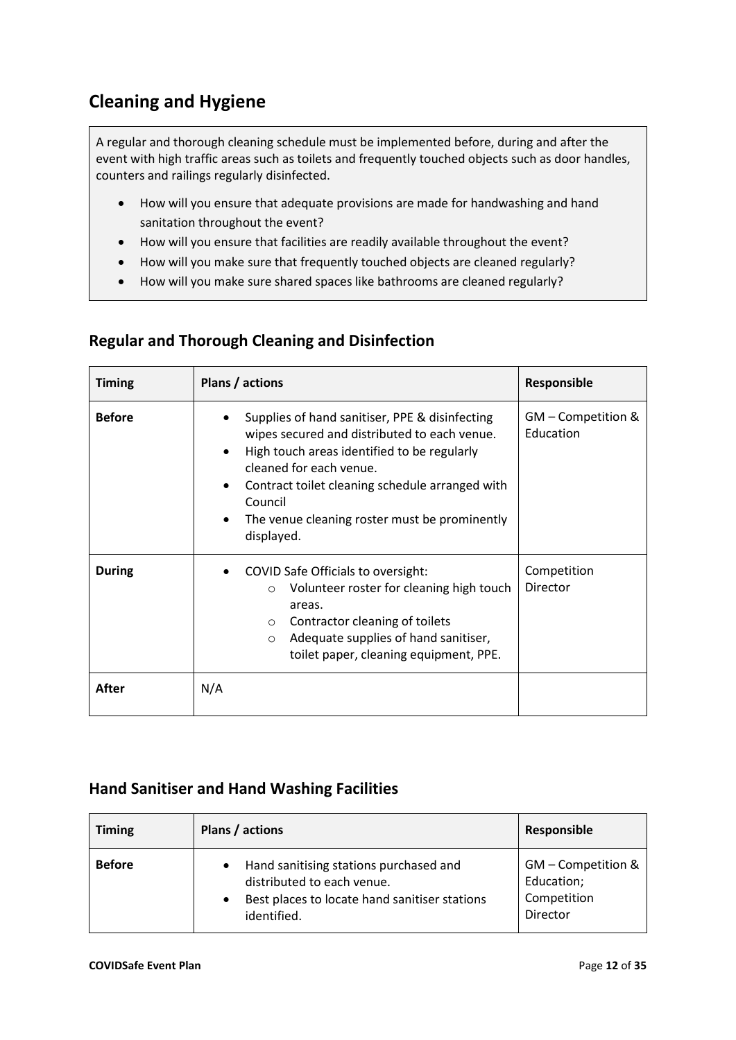### **Cleaning and Hygiene**

A regular and thorough cleaning schedule must be implemented before, during and after the event with high traffic areas such as toilets and frequently touched objects such as door handles, counters and railings regularly disinfected.

- How will you ensure that adequate provisions are made for handwashing and hand sanitation throughout the event?
- How will you ensure that facilities are readily available throughout the event?
- How will you make sure that frequently touched objects are cleaned regularly?
- How will you make sure shared spaces like bathrooms are cleaned regularly?

### **Regular and Thorough Cleaning and Disinfection**

| <b>Timing</b> | Plans / actions                                                                                                                                                                                                                                                                                                                 | <b>Responsible</b>              |
|---------------|---------------------------------------------------------------------------------------------------------------------------------------------------------------------------------------------------------------------------------------------------------------------------------------------------------------------------------|---------------------------------|
| <b>Before</b> | Supplies of hand sanitiser, PPE & disinfecting<br>wipes secured and distributed to each venue.<br>High touch areas identified to be regularly<br>cleaned for each venue.<br>Contract toilet cleaning schedule arranged with<br>$\bullet$<br>Council<br>The venue cleaning roster must be prominently<br>$\bullet$<br>displayed. | GM - Competition &<br>Education |
| <b>During</b> | <b>COVID Safe Officials to oversight:</b><br>Volunteer roster for cleaning high touch<br>$\circ$<br>areas.<br>Contractor cleaning of toilets<br>$\circ$<br>Adequate supplies of hand sanitiser,<br>$\circ$<br>toilet paper, cleaning equipment, PPE.                                                                            | Competition<br>Director         |
| After         | N/A                                                                                                                                                                                                                                                                                                                             |                                 |

### **Hand Sanitiser and Hand Washing Facilities**

| <b>Timing</b> | Plans / actions                                                                                                                      | Responsible                                                 |
|---------------|--------------------------------------------------------------------------------------------------------------------------------------|-------------------------------------------------------------|
| <b>Before</b> | Hand sanitising stations purchased and<br>distributed to each venue.<br>Best places to locate hand sanitiser stations<br>identified. | GM - Competition &<br>Education;<br>Competition<br>Director |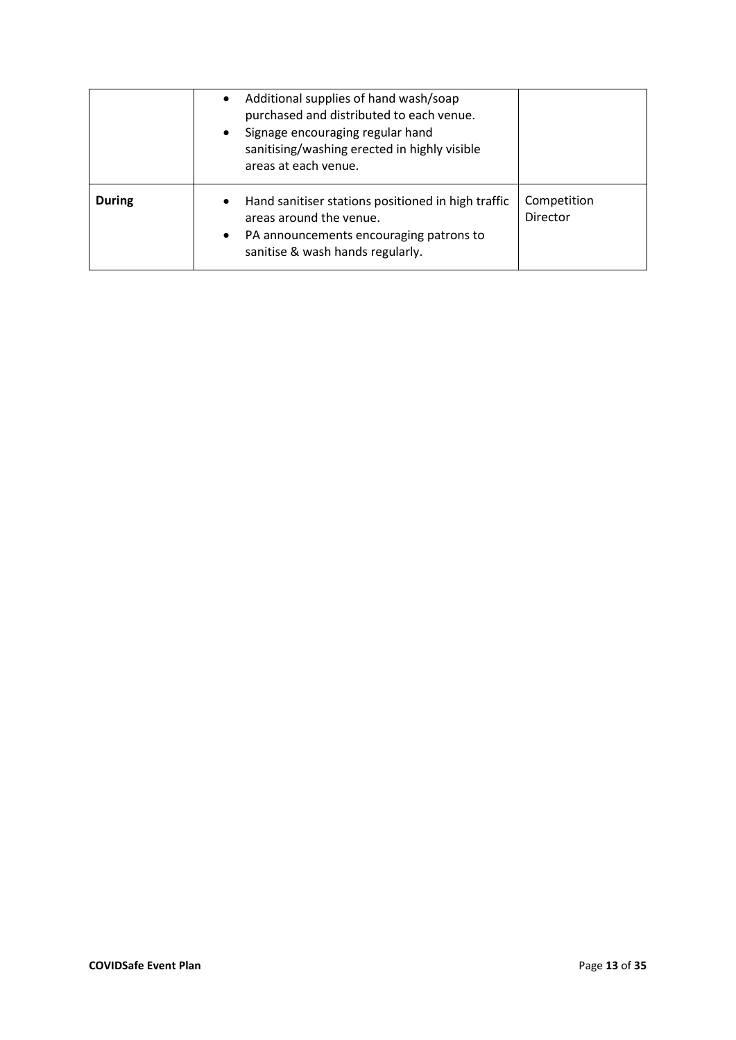|               | Additional supplies of hand wash/soap<br>$\bullet$<br>purchased and distributed to each venue.<br>Signage encouraging regular hand<br>$\bullet$<br>sanitising/washing erected in highly visible<br>areas at each venue. |                         |
|---------------|-------------------------------------------------------------------------------------------------------------------------------------------------------------------------------------------------------------------------|-------------------------|
| <b>During</b> | Hand sanitiser stations positioned in high traffic<br>$\bullet$<br>areas around the venue.<br>PA announcements encouraging patrons to<br>$\bullet$<br>sanitise & wash hands regularly.                                  | Competition<br>Director |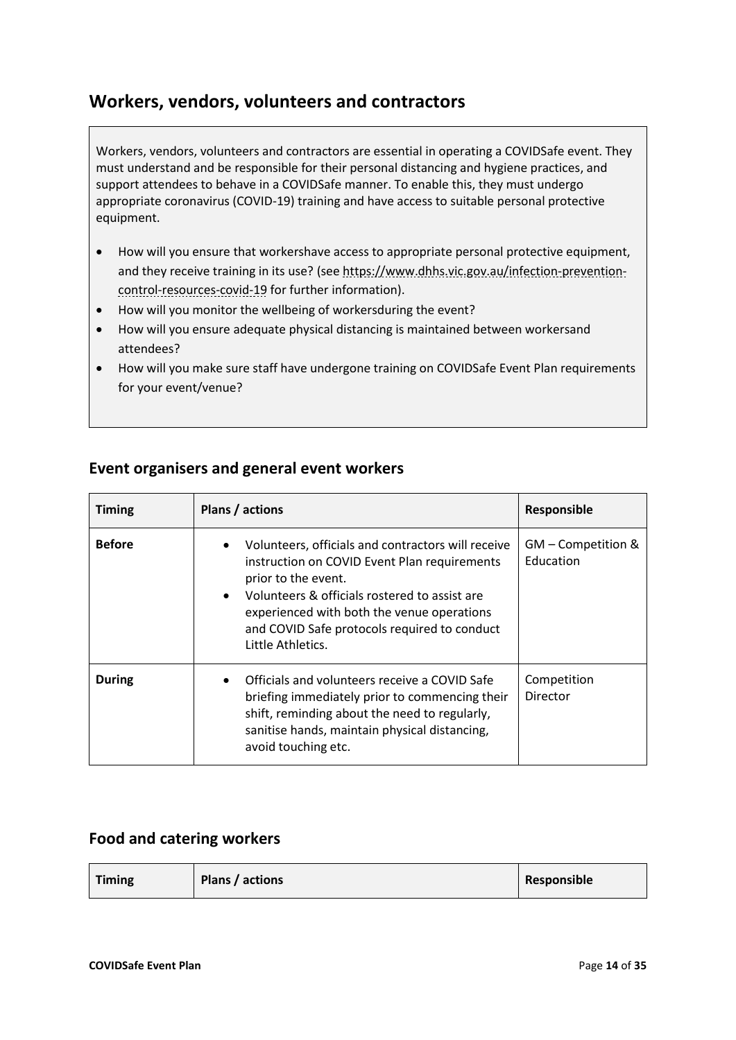### **Workers, vendors, volunteers and contractors**

Workers, vendors, volunteers and contractors are essential in operating a COVIDSafe event. They must understand and be responsible for their personal distancing and hygiene practices, and support attendees to behave in a COVIDSafe manner. To enable this, they must undergo appropriate coronavirus (COVID-19) training and have access to suitable personal protective equipment.

- How will you ensure that workershave access to appropriate personal protective equipment, and they receive training in its use? (see [https://www.dhhs.vic.gov.au/infection-prevention](https://www.dhhs.vic.gov.au/infection-prevention-control-resources-covid-19)[control-resources-covid-19](https://www.dhhs.vic.gov.au/infection-prevention-control-resources-covid-19) for further information).
- How will you monitor the wellbeing of workersduring the event?
- How will you ensure adequate physical distancing is maintained between workersand attendees?
- How will you make sure staff have undergone training on COVIDSafe Event Plan requirements for your event/venue?

| <b>Timing</b> | Plans / actions                                                                                                                                                                                                                                                                                                         | <b>Responsible</b>              |
|---------------|-------------------------------------------------------------------------------------------------------------------------------------------------------------------------------------------------------------------------------------------------------------------------------------------------------------------------|---------------------------------|
| <b>Before</b> | Volunteers, officials and contractors will receive<br>$\bullet$<br>instruction on COVID Event Plan requirements<br>prior to the event.<br>Volunteers & officials rostered to assist are<br>$\bullet$<br>experienced with both the venue operations<br>and COVID Safe protocols required to conduct<br>Little Athletics. | GM - Competition &<br>Education |
| <b>During</b> | Officials and volunteers receive a COVID Safe<br>briefing immediately prior to commencing their<br>shift, reminding about the need to regularly,<br>sanitise hands, maintain physical distancing,<br>avoid touching etc.                                                                                                | Competition<br>Director         |

### **Event organisers and general event workers**

### **Food and catering workers**

| <b>Timing</b> | Plans / actions | Responsible |
|---------------|-----------------|-------------|
|---------------|-----------------|-------------|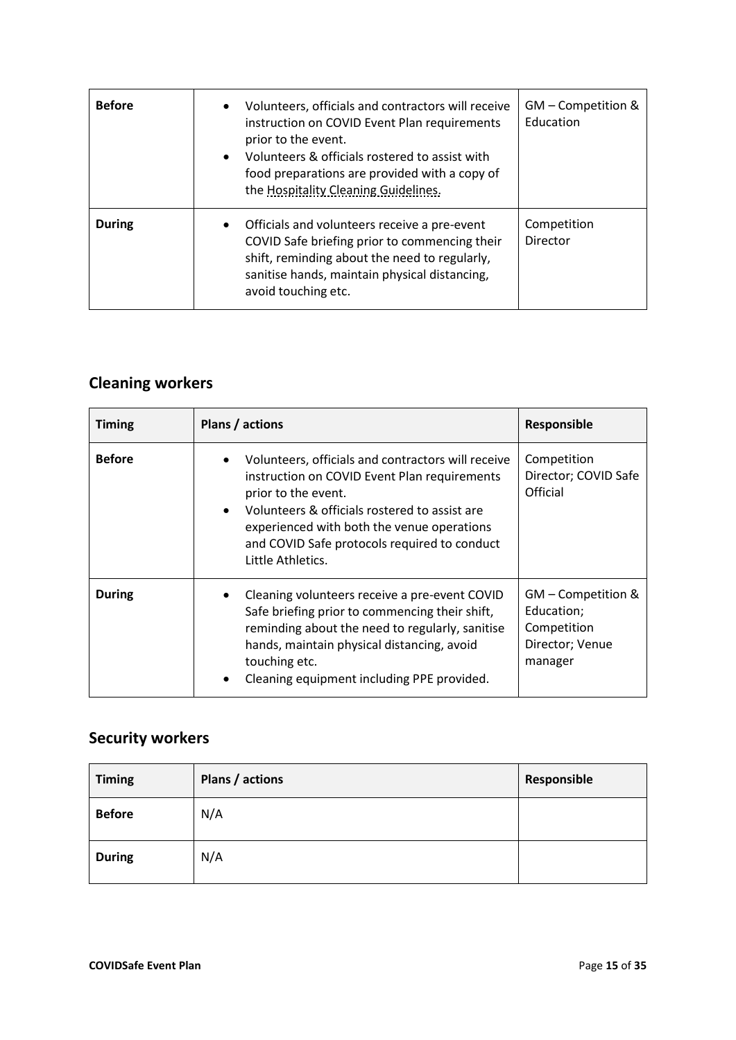| <b>Before</b> | Volunteers, officials and contractors will receive<br>$\bullet$<br>instruction on COVID Event Plan requirements<br>prior to the event.<br>Volunteers & officials rostered to assist with<br>$\bullet$<br>food preparations are provided with a copy of<br>the Hospitality Cleaning Guidelines. | GM - Competition &<br>Education |
|---------------|------------------------------------------------------------------------------------------------------------------------------------------------------------------------------------------------------------------------------------------------------------------------------------------------|---------------------------------|
| <b>During</b> | Officials and volunteers receive a pre-event<br>$\bullet$<br>COVID Safe briefing prior to commencing their<br>shift, reminding about the need to regularly,<br>sanitise hands, maintain physical distancing,<br>avoid touching etc.                                                            | Competition<br>Director         |

## **Cleaning workers**

| <b>Timing</b> | Plans / actions                                                                                                                                                                                                                                                                                                         | Responsible                                                                   |
|---------------|-------------------------------------------------------------------------------------------------------------------------------------------------------------------------------------------------------------------------------------------------------------------------------------------------------------------------|-------------------------------------------------------------------------------|
| <b>Before</b> | Volunteers, officials and contractors will receive<br>$\bullet$<br>instruction on COVID Event Plan requirements<br>prior to the event.<br>Volunteers & officials rostered to assist are<br>$\bullet$<br>experienced with both the venue operations<br>and COVID Safe protocols required to conduct<br>Little Athletics. | Competition<br>Director; COVID Safe<br>Official                               |
| <b>During</b> | Cleaning volunteers receive a pre-event COVID<br>$\bullet$<br>Safe briefing prior to commencing their shift,<br>reminding about the need to regularly, sanitise<br>hands, maintain physical distancing, avoid<br>touching etc.<br>Cleaning equipment including PPE provided.<br>٠                                       | GM - Competition &<br>Education;<br>Competition<br>Director; Venue<br>manager |

## **Security workers**

| <b>Timing</b> | Plans / actions | Responsible |
|---------------|-----------------|-------------|
| <b>Before</b> | N/A             |             |
| <b>During</b> | N/A             |             |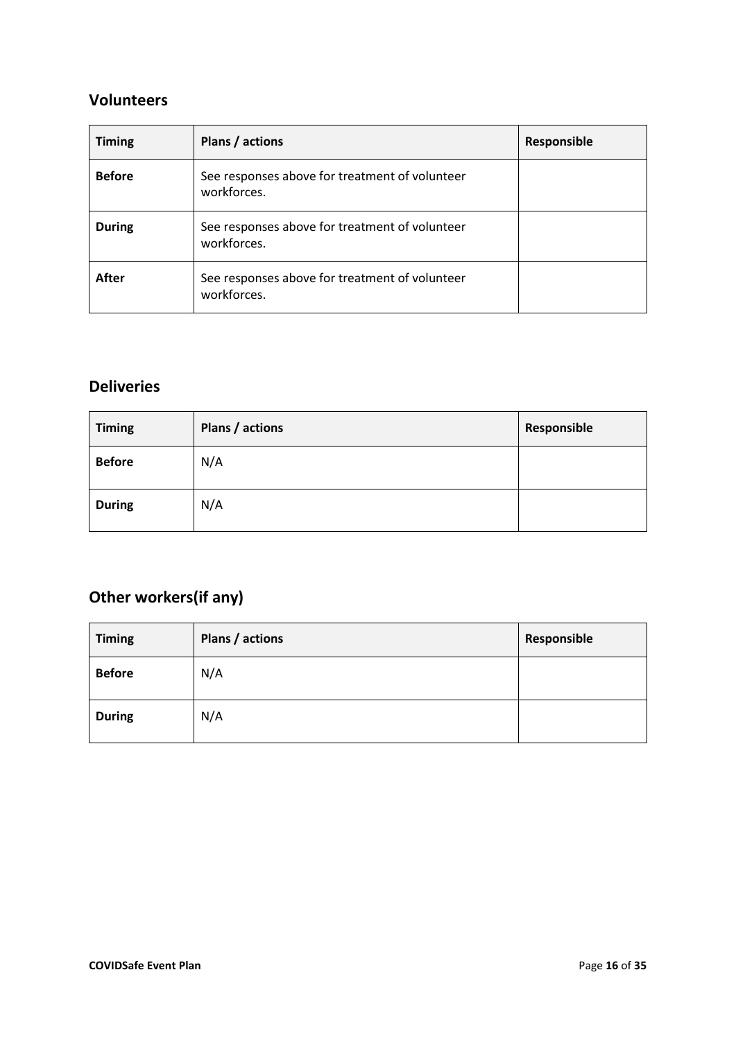### **Volunteers**

| <b>Timing</b> | Plans / actions                                               | Responsible |
|---------------|---------------------------------------------------------------|-------------|
| <b>Before</b> | See responses above for treatment of volunteer<br>workforces. |             |
| <b>During</b> | See responses above for treatment of volunteer<br>workforces. |             |
| After         | See responses above for treatment of volunteer<br>workforces. |             |

### **Deliveries**

| <b>Timing</b> | Plans / actions | Responsible |
|---------------|-----------------|-------------|
| <b>Before</b> | N/A             |             |
| <b>During</b> | N/A             |             |

## **Other workers(if any)**

| <b>Timing</b> | Plans / actions | Responsible |
|---------------|-----------------|-------------|
| <b>Before</b> | N/A             |             |
| <b>During</b> | N/A             |             |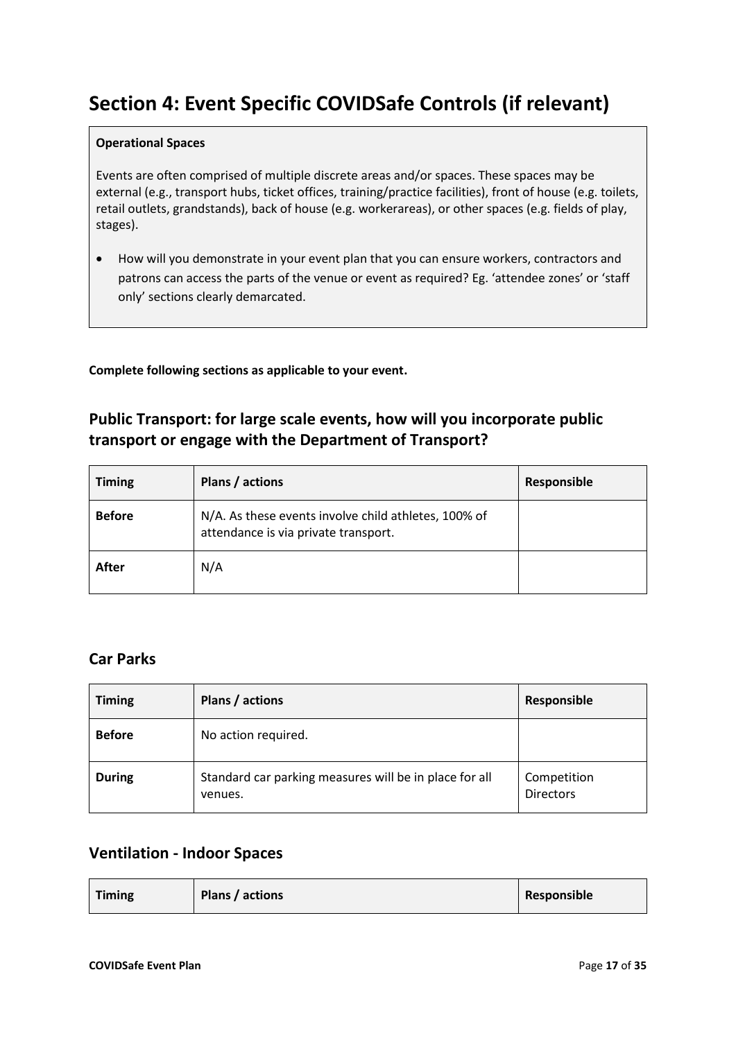## **Section 4: Event Specific COVIDSafe Controls (if relevant)**

#### **Operational Spaces**

Events are often comprised of multiple discrete areas and/or spaces. These spaces may be external (e.g., transport hubs, ticket offices, training/practice facilities), front of house (e.g. toilets, retail outlets, grandstands), back of house (e.g. workerareas), or other spaces (e.g. fields of play, stages).

• How will you demonstrate in your event plan that you can ensure workers, contractors and patrons can access the parts of the venue or event as required? Eg. 'attendee zones' or 'staff only' sections clearly demarcated.

**Complete following sections as applicable to your event.**

### **Public Transport: for large scale events, how will you incorporate public transport or engage with the Department of Transport?**

| <b>Timing</b> | Plans / actions                                                                              | Responsible |
|---------------|----------------------------------------------------------------------------------------------|-------------|
| <b>Before</b> | N/A. As these events involve child athletes, 100% of<br>attendance is via private transport. |             |
| After         | N/A                                                                                          |             |

### **Car Parks**

| <b>Timing</b> | Plans / actions                                                   | Responsible                     |
|---------------|-------------------------------------------------------------------|---------------------------------|
| <b>Before</b> | No action required.                                               |                                 |
| <b>During</b> | Standard car parking measures will be in place for all<br>venues. | Competition<br><b>Directors</b> |

### **Ventilation - Indoor Spaces**

| <b>Timing</b> | Plans / actions | Responsible |
|---------------|-----------------|-------------|
|---------------|-----------------|-------------|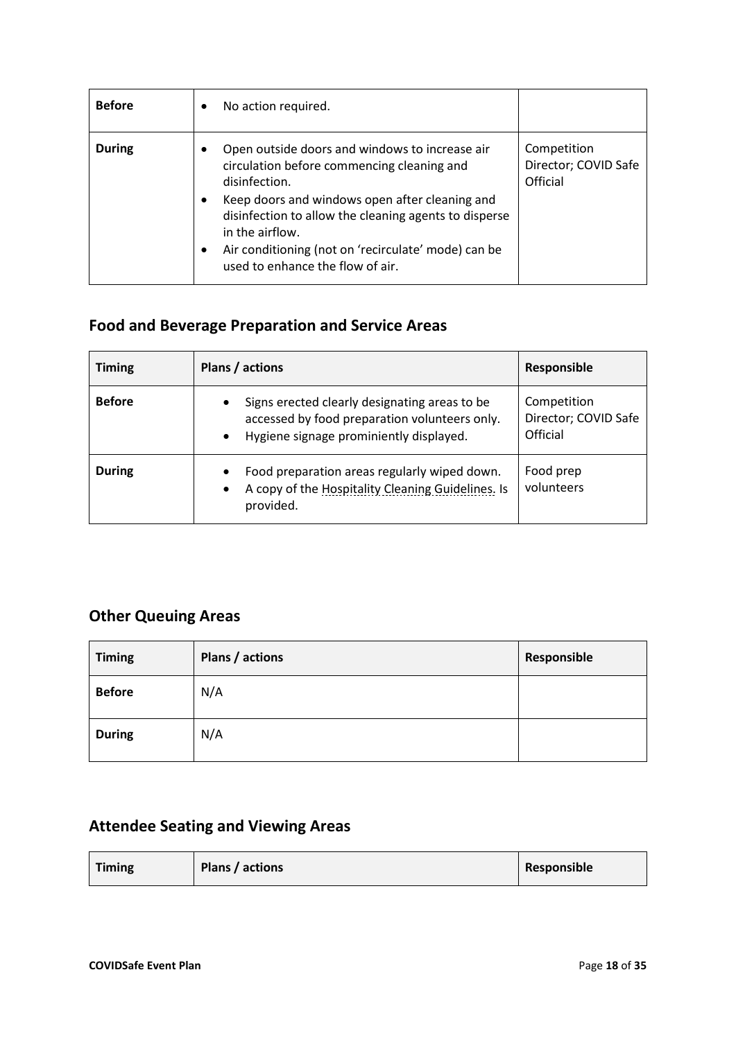| <b>Before</b> | No action required.<br>٠                                                                                                                                                                                                                                                                                                                                      |                                                 |
|---------------|---------------------------------------------------------------------------------------------------------------------------------------------------------------------------------------------------------------------------------------------------------------------------------------------------------------------------------------------------------------|-------------------------------------------------|
| <b>During</b> | Open outside doors and windows to increase air<br>٠<br>circulation before commencing cleaning and<br>disinfection.<br>Keep doors and windows open after cleaning and<br>$\bullet$<br>disinfection to allow the cleaning agents to disperse<br>in the airflow.<br>Air conditioning (not on 'recirculate' mode) can be<br>٠<br>used to enhance the flow of air. | Competition<br>Director; COVID Safe<br>Official |

## **Food and Beverage Preparation and Service Areas**

| <b>Timing</b> | Plans / actions                                                                                                                                                     | Responsible                                     |
|---------------|---------------------------------------------------------------------------------------------------------------------------------------------------------------------|-------------------------------------------------|
| <b>Before</b> | Signs erected clearly designating areas to be<br>$\bullet$<br>accessed by food preparation volunteers only.<br>Hygiene signage prominiently displayed.<br>$\bullet$ | Competition<br>Director; COVID Safe<br>Official |
| <b>During</b> | Food preparation areas regularly wiped down.<br>٠<br>A copy of the Hospitality Cleaning Guidelines. Is<br>$\bullet$<br>provided.                                    | Food prep<br>volunteers                         |

### **Other Queuing Areas**

| <b>Timing</b> | Plans / actions | Responsible |
|---------------|-----------------|-------------|
| <b>Before</b> | N/A             |             |
| <b>During</b> | N/A             |             |

## **Attendee Seating and Viewing Areas**

| <b>Timing</b><br>Plans / actions | Responsible |
|----------------------------------|-------------|
|----------------------------------|-------------|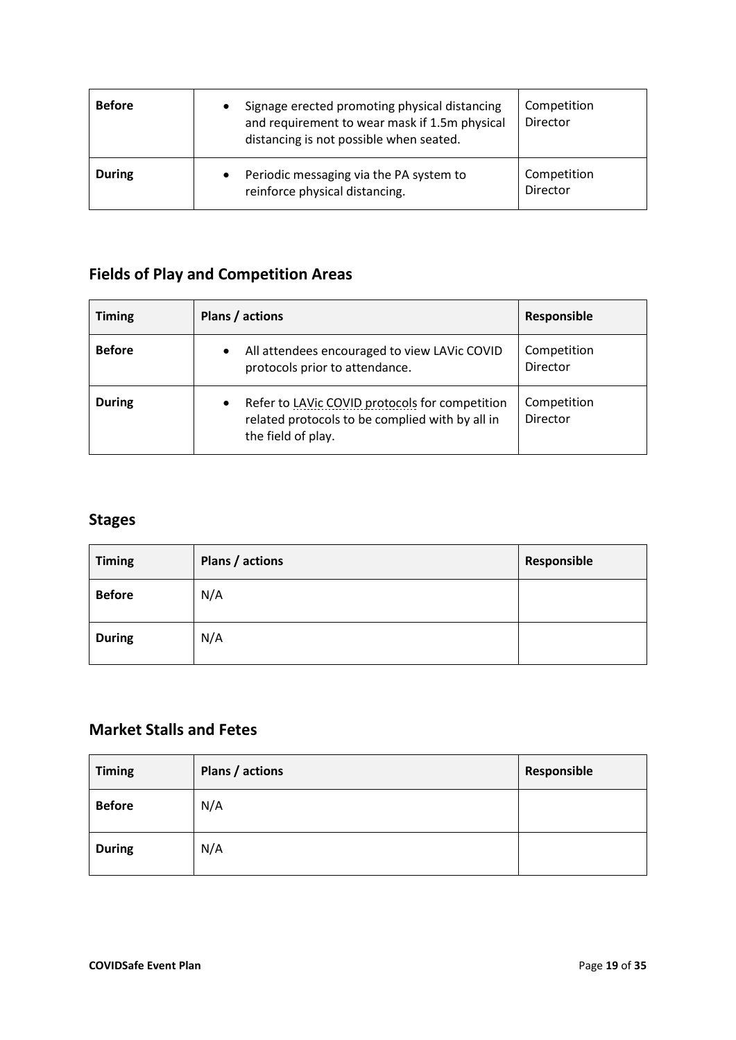| <b>Before</b> | Signage erected promoting physical distancing<br>٠<br>and requirement to wear mask if 1.5m physical<br>distancing is not possible when seated. | Competition<br>Director |
|---------------|------------------------------------------------------------------------------------------------------------------------------------------------|-------------------------|
| <b>During</b> | Periodic messaging via the PA system to<br>٠<br>reinforce physical distancing.                                                                 | Competition<br>Director |

## **Fields of Play and Competition Areas**

| <b>Timing</b> | Plans / actions                                                                                                                      | Responsible             |
|---------------|--------------------------------------------------------------------------------------------------------------------------------------|-------------------------|
| <b>Before</b> | All attendees encouraged to view LAVic COVID<br>$\bullet$<br>protocols prior to attendance.                                          | Competition<br>Director |
| <b>During</b> | Refer to LAVic COVID protocols for competition<br>$\bullet$<br>related protocols to be complied with by all in<br>the field of play. | Competition<br>Director |

### **Stages**

| <b>Timing</b> | Plans / actions | Responsible |
|---------------|-----------------|-------------|
| <b>Before</b> | N/A             |             |
| <b>During</b> | N/A             |             |

### **Market Stalls and Fetes**

| <b>Timing</b> | Plans / actions | Responsible |
|---------------|-----------------|-------------|
| <b>Before</b> | N/A             |             |
| <b>During</b> | N/A             |             |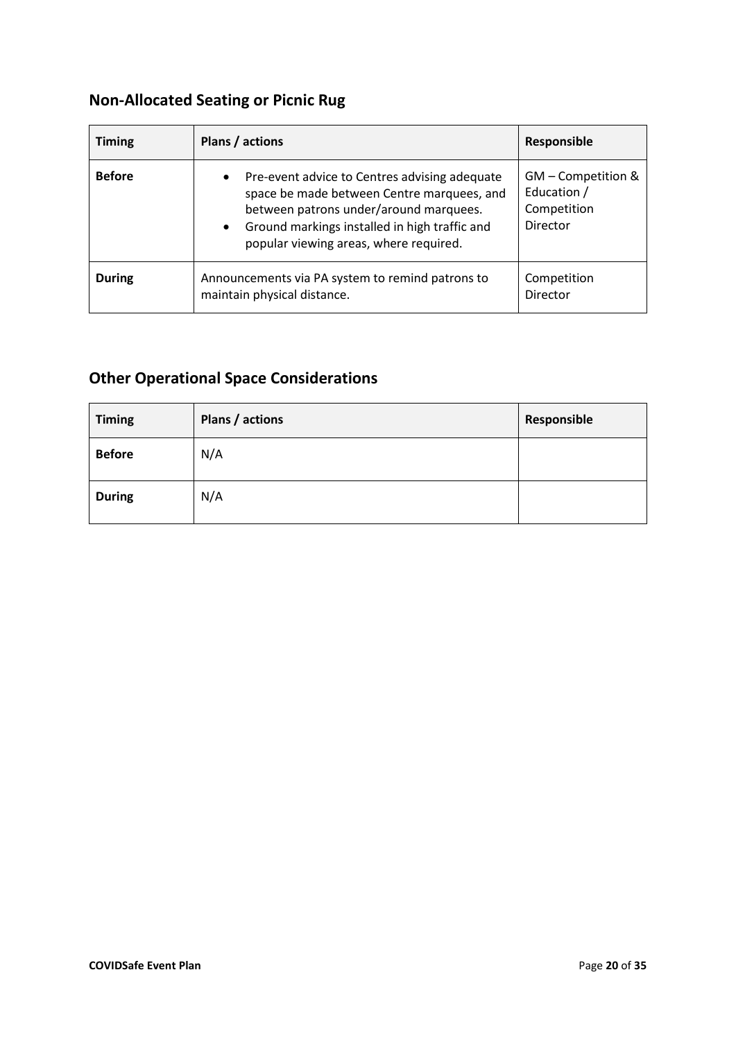## **Non-Allocated Seating or Picnic Rug**

| <b>Timing</b> | Plans / actions                                                                                                                                                                                                                                            | Responsible                                                  |
|---------------|------------------------------------------------------------------------------------------------------------------------------------------------------------------------------------------------------------------------------------------------------------|--------------------------------------------------------------|
| <b>Before</b> | Pre-event advice to Centres advising adequate<br>$\bullet$<br>space be made between Centre marquees, and<br>between patrons under/around marquees.<br>Ground markings installed in high traffic and<br>$\bullet$<br>popular viewing areas, where required. | GM - Competition &<br>Education /<br>Competition<br>Director |
| <b>During</b> | Announcements via PA system to remind patrons to<br>maintain physical distance.                                                                                                                                                                            | Competition<br>Director                                      |

## **Other Operational Space Considerations**

| <b>Timing</b> | Plans / actions | Responsible |
|---------------|-----------------|-------------|
| <b>Before</b> | N/A             |             |
| <b>During</b> | N/A             |             |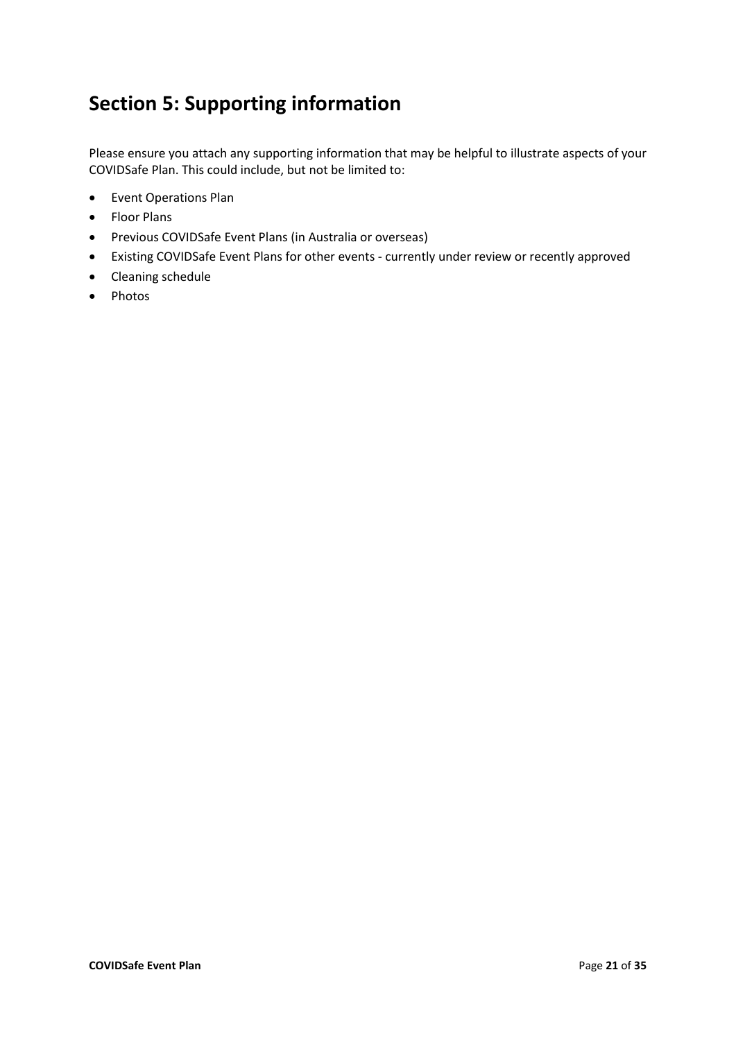## **Section 5: Supporting information**

Please ensure you attach any supporting information that may be helpful to illustrate aspects of your COVIDSafe Plan. This could include, but not be limited to:

- Event Operations Plan
- Floor Plans
- Previous COVIDSafe Event Plans (in Australia or overseas)
- Existing COVIDSafe Event Plans for other events currently under review or recently approved
- Cleaning schedule
- Photos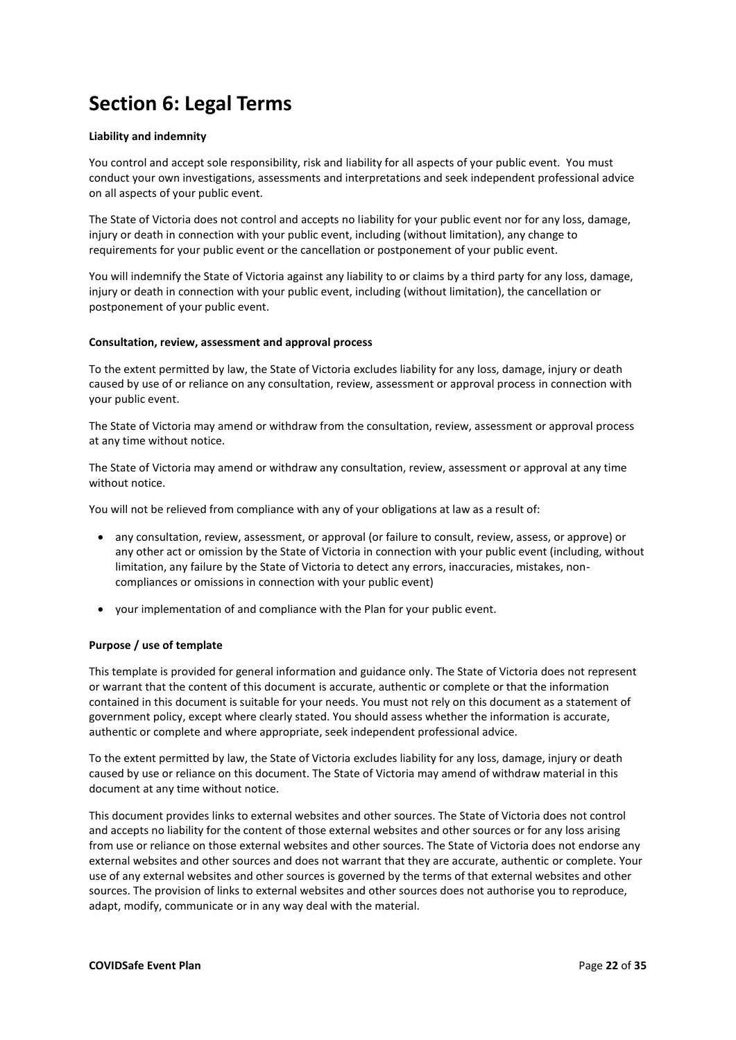## **Section 6: Legal Terms**

#### **Liability and indemnity**

You control and accept sole responsibility, risk and liability for all aspects of your public event. You must conduct your own investigations, assessments and interpretations and seek independent professional advice on all aspects of your public event.

The State of Victoria does not control and accepts no liability for your public event nor for any loss, damage, injury or death in connection with your public event, including (without limitation), any change to requirements for your public event or the cancellation or postponement of your public event.

You will indemnify the State of Victoria against any liability to or claims by a third party for any loss, damage, injury or death in connection with your public event, including (without limitation), the cancellation or postponement of your public event.

#### **Consultation, review, assessment and approval process**

To the extent permitted by law, the State of Victoria excludes liability for any loss, damage, injury or death caused by use of or reliance on any consultation, review, assessment or approval process in connection with your public event.

The State of Victoria may amend or withdraw from the consultation, review, assessment or approval process at any time without notice.

The State of Victoria may amend or withdraw any consultation, review, assessment or approval at any time without notice.

You will not be relieved from compliance with any of your obligations at law as a result of:

- any consultation, review, assessment, or approval (or failure to consult, review, assess, or approve) or any other act or omission by the State of Victoria in connection with your public event (including, without limitation, any failure by the State of Victoria to detect any errors, inaccuracies, mistakes, noncompliances or omissions in connection with your public event)
- your implementation of and compliance with the Plan for your public event.

#### **Purpose / use of template**

This template is provided for general information and guidance only. The State of Victoria does not represent or warrant that the content of this document is accurate, authentic or complete or that the information contained in this document is suitable for your needs. You must not rely on this document as a statement of government policy, except where clearly stated. You should assess whether the information is accurate, authentic or complete and where appropriate, seek independent professional advice.

To the extent permitted by law, the State of Victoria excludes liability for any loss, damage, injury or death caused by use or reliance on this document. The State of Victoria may amend of withdraw material in this document at any time without notice.

This document provides links to external websites and other sources. The State of Victoria does not control and accepts no liability for the content of those external websites and other sources or for any loss arising from use or reliance on those external websites and other sources. The State of Victoria does not endorse any external websites and other sources and does not warrant that they are accurate, authentic or complete. Your use of any external websites and other sources is governed by the terms of that external websites and other sources. The provision of links to external websites and other sources does not authorise you to reproduce, adapt, modify, communicate or in any way deal with the material.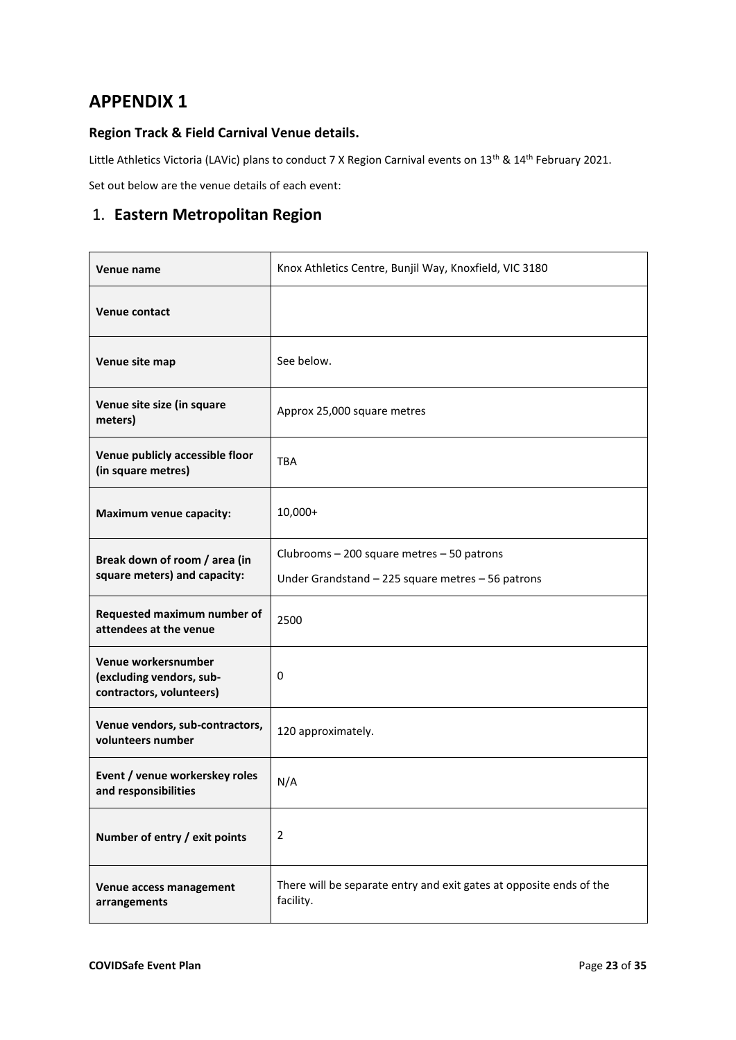### **APPENDIX 1**

### **Region Track & Field Carnival Venue details.**

Little Athletics Victoria (LAVic) plans to conduct 7 X Region Carnival events on 13<sup>th</sup> & 14<sup>th</sup> February 2021.

Set out below are the venue details of each event:

### 1. **Eastern Metropolitan Region**

| Venue name                                                                  | Knox Athletics Centre, Bunjil Way, Knoxfield, VIC 3180                                          |
|-----------------------------------------------------------------------------|-------------------------------------------------------------------------------------------------|
| <b>Venue contact</b>                                                        |                                                                                                 |
| Venue site map                                                              | See below.                                                                                      |
| Venue site size (in square<br>meters)                                       | Approx 25,000 square metres                                                                     |
| Venue publicly accessible floor<br>(in square metres)                       | <b>TBA</b>                                                                                      |
| <b>Maximum venue capacity:</b>                                              | $10,000+$                                                                                       |
| Break down of room / area (in<br>square meters) and capacity:               | Clubrooms - 200 square metres - 50 patrons<br>Under Grandstand - 225 square metres - 56 patrons |
| Requested maximum number of<br>attendees at the venue                       | 2500                                                                                            |
| Venue workersnumber<br>(excluding vendors, sub-<br>contractors, volunteers) | 0                                                                                               |
| Venue vendors, sub-contractors,<br>volunteers number                        | 120 approximately.                                                                              |
| Event / venue workerskey roles<br>and responsibilities                      | N/A                                                                                             |
| Number of entry / exit points                                               | $\overline{2}$                                                                                  |
| Venue access management<br>arrangements                                     | There will be separate entry and exit gates at opposite ends of the<br>facility.                |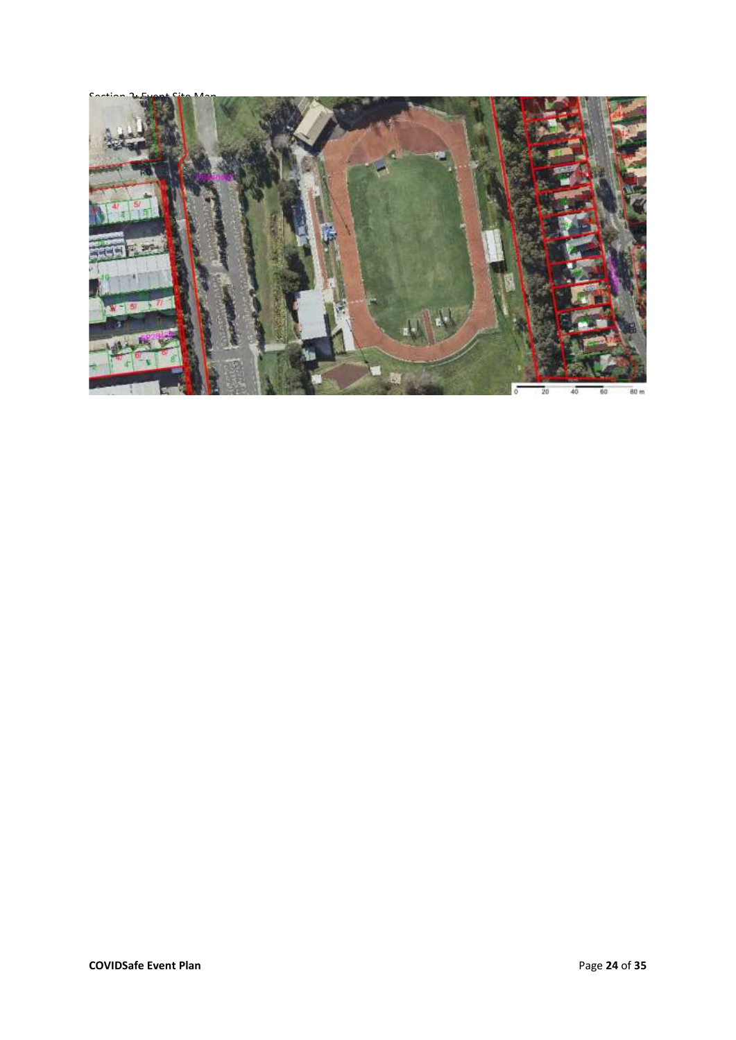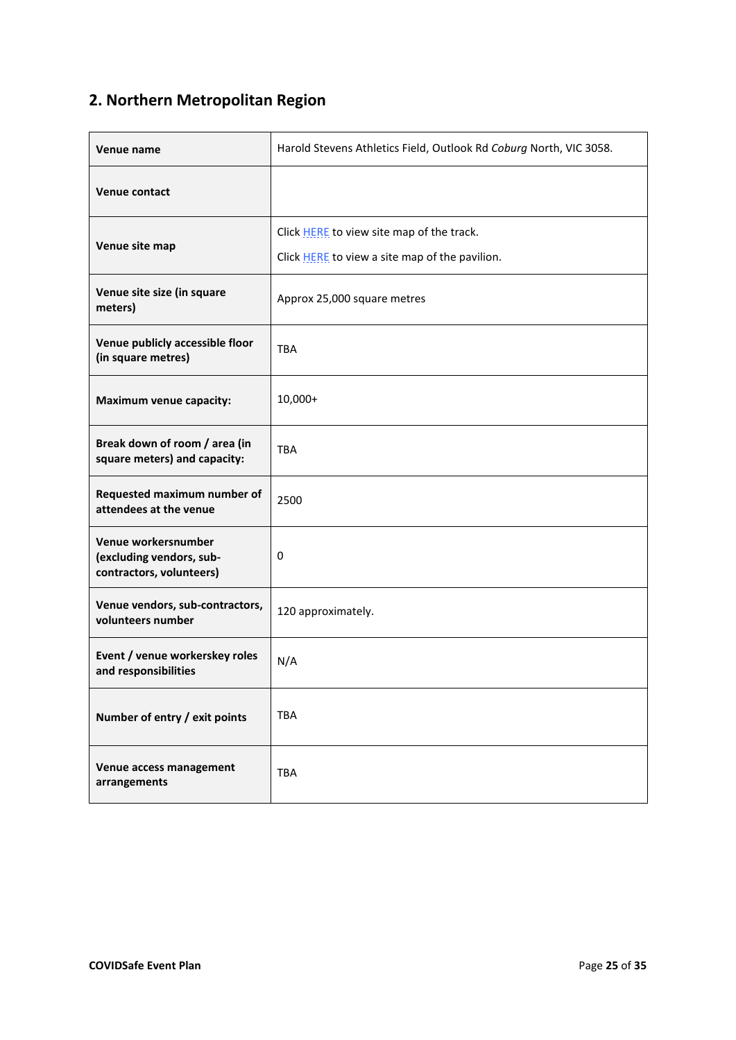## **2. Northern Metropolitan Region**

| Venue name                                                                  | Harold Stevens Athletics Field, Outlook Rd Coburg North, VIC 3058.                          |
|-----------------------------------------------------------------------------|---------------------------------------------------------------------------------------------|
| <b>Venue contact</b>                                                        |                                                                                             |
| Venue site map                                                              | Click HERE to view site map of the track.<br>Click HERE to view a site map of the pavilion. |
| Venue site size (in square<br>meters)                                       | Approx 25,000 square metres                                                                 |
| Venue publicly accessible floor<br>(in square metres)                       | <b>TBA</b>                                                                                  |
| <b>Maximum venue capacity:</b>                                              | $10,000+$                                                                                   |
| Break down of room / area (in<br>square meters) and capacity:               | <b>TBA</b>                                                                                  |
| Requested maximum number of<br>attendees at the venue                       | 2500                                                                                        |
| Venue workersnumber<br>(excluding vendors, sub-<br>contractors, volunteers) | 0                                                                                           |
| Venue vendors, sub-contractors,<br>volunteers number                        | 120 approximately.                                                                          |
| Event / venue workerskey roles<br>and responsibilities                      | N/A                                                                                         |
| Number of entry / exit points                                               | TBA                                                                                         |
| Venue access management<br>arrangements                                     | <b>TBA</b>                                                                                  |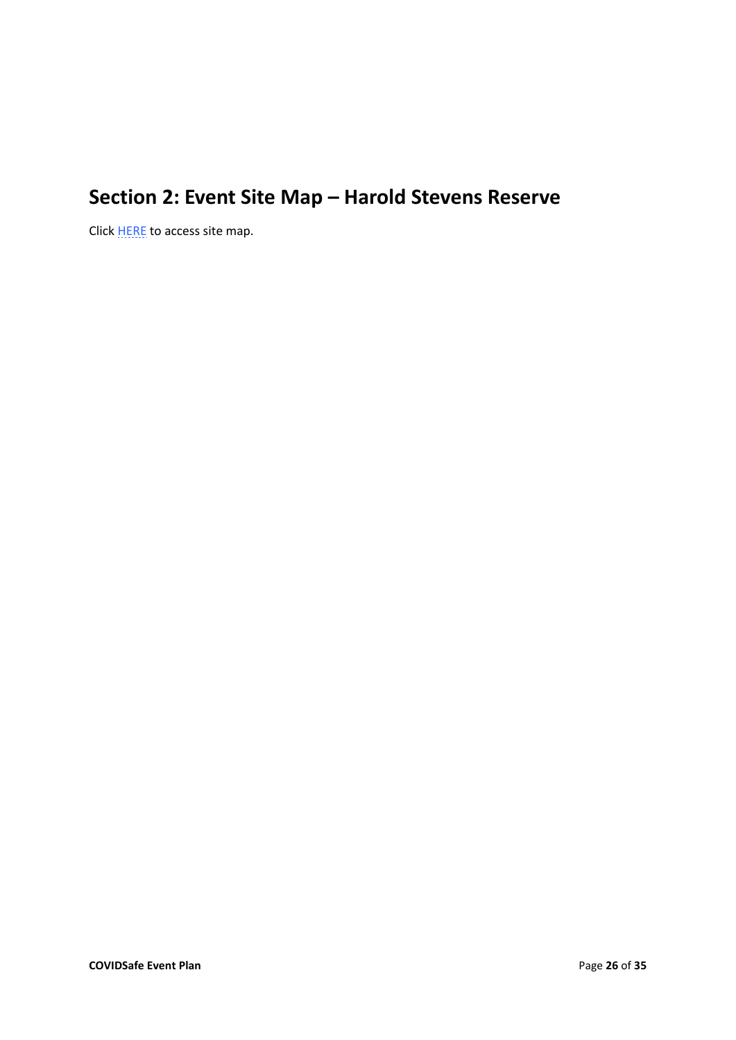## **Section 2: Event Site Map – Harold Stevens Reserve**

Click **HERE** to access site map.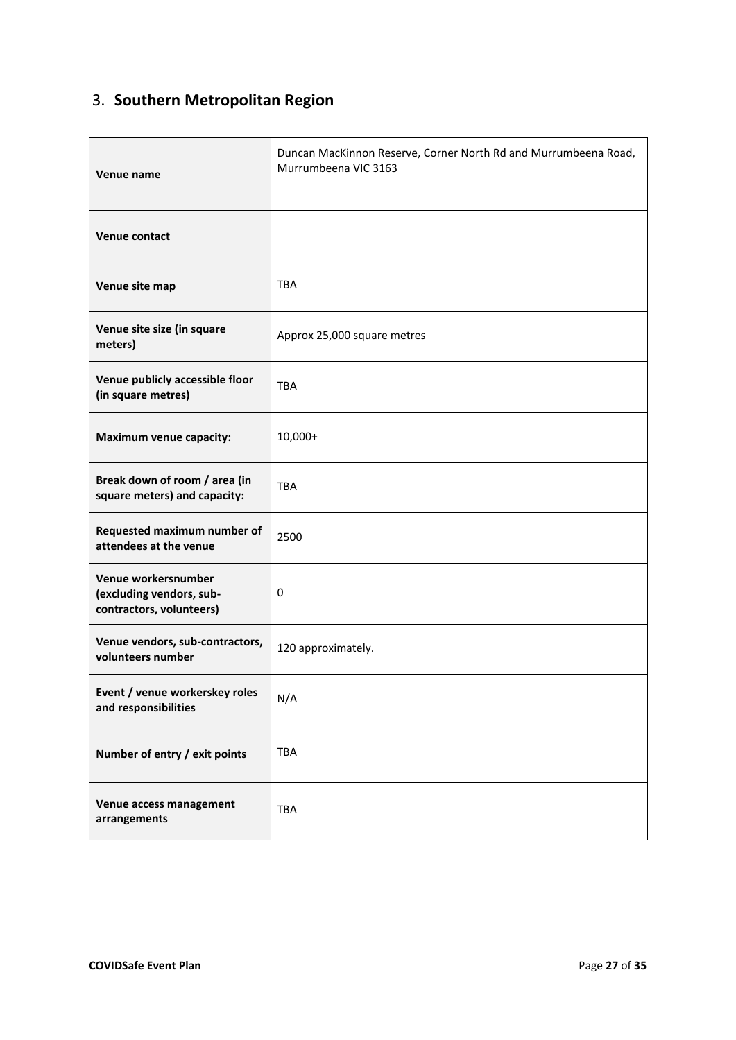## 3. **Southern Metropolitan Region**

| Venue name                                                                  | Duncan MacKinnon Reserve, Corner North Rd and Murrumbeena Road,<br>Murrumbeena VIC 3163 |
|-----------------------------------------------------------------------------|-----------------------------------------------------------------------------------------|
| Venue contact                                                               |                                                                                         |
| Venue site map                                                              | <b>TBA</b>                                                                              |
| Venue site size (in square<br>meters)                                       | Approx 25,000 square metres                                                             |
| Venue publicly accessible floor<br>(in square metres)                       | <b>TBA</b>                                                                              |
| Maximum venue capacity:                                                     | 10,000+                                                                                 |
| Break down of room / area (in<br>square meters) and capacity:               | <b>TBA</b>                                                                              |
| Requested maximum number of<br>attendees at the venue                       | 2500                                                                                    |
| Venue workersnumber<br>(excluding vendors, sub-<br>contractors, volunteers) | 0                                                                                       |
| Venue vendors, sub-contractors,<br>volunteers number                        | 120 approximately.                                                                      |
| Event / venue workerskey roles<br>and responsibilities                      | N/A                                                                                     |
| Number of entry / exit points                                               | <b>TBA</b>                                                                              |
| Venue access management<br>arrangements                                     | <b>TBA</b>                                                                              |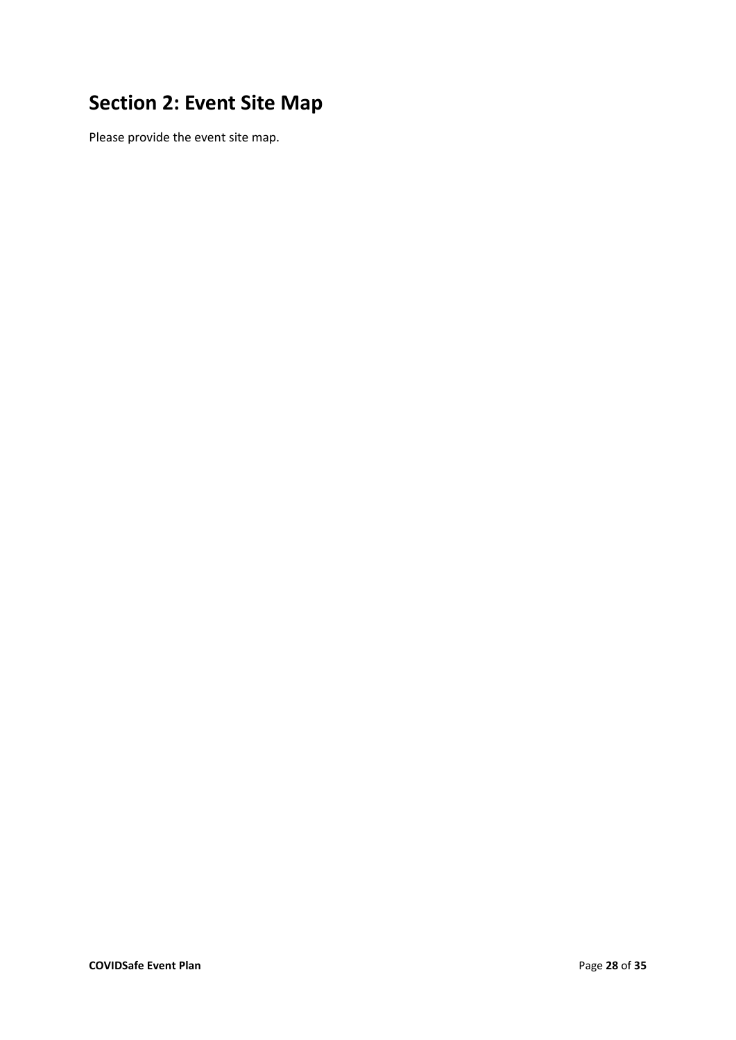## **Section 2: Event Site Map**

Please provide the event site map.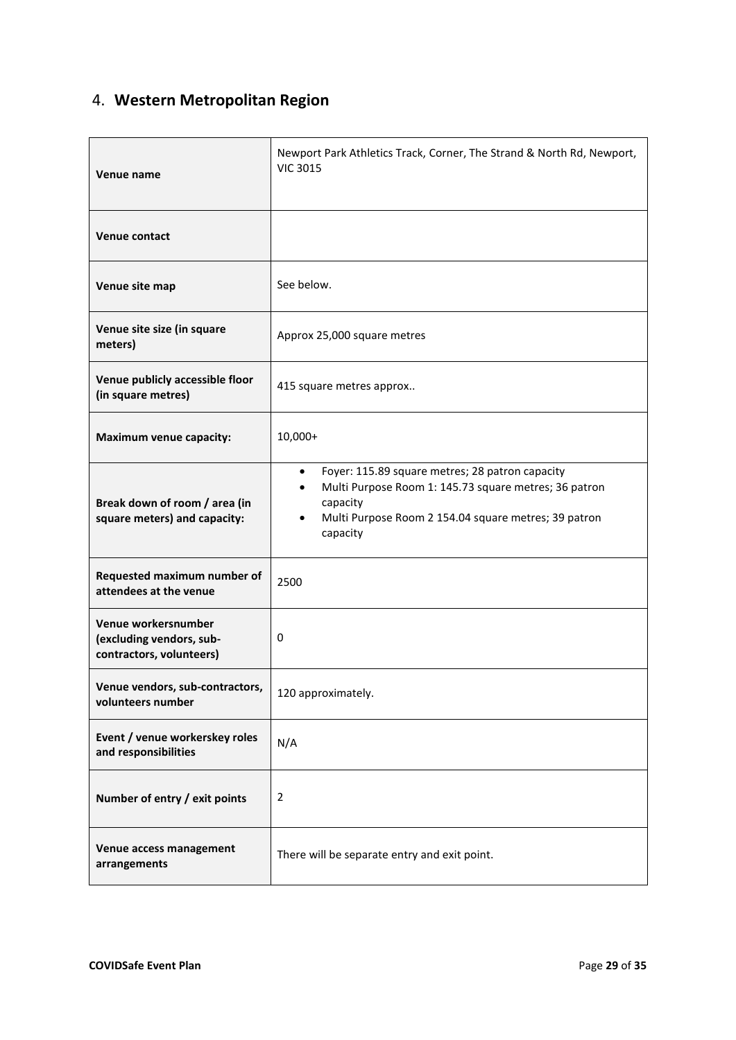## 4. **Western Metropolitan Region**

| Venue name                                                                  | Newport Park Athletics Track, Corner, The Strand & North Rd, Newport,<br><b>VIC 3015</b>                                                                                                              |
|-----------------------------------------------------------------------------|-------------------------------------------------------------------------------------------------------------------------------------------------------------------------------------------------------|
| <b>Venue contact</b>                                                        |                                                                                                                                                                                                       |
| Venue site map                                                              | See below.                                                                                                                                                                                            |
| Venue site size (in square<br>meters)                                       | Approx 25,000 square metres                                                                                                                                                                           |
| Venue publicly accessible floor<br>(in square metres)                       | 415 square metres approx                                                                                                                                                                              |
| <b>Maximum venue capacity:</b>                                              | 10,000+                                                                                                                                                                                               |
| Break down of room / area (in<br>square meters) and capacity:               | Foyer: 115.89 square metres; 28 patron capacity<br>$\bullet$<br>Multi Purpose Room 1: 145.73 square metres; 36 patron<br>capacity<br>Multi Purpose Room 2 154.04 square metres; 39 patron<br>capacity |
| Requested maximum number of<br>attendees at the venue                       | 2500                                                                                                                                                                                                  |
| Venue workersnumber<br>(excluding vendors, sub-<br>contractors, volunteers) | 0                                                                                                                                                                                                     |
| Venue vendors, sub-contractors,<br>volunteers number                        | 120 approximately.                                                                                                                                                                                    |
| Event / venue workerskey roles<br>and responsibilities                      | N/A                                                                                                                                                                                                   |
| Number of entry / exit points                                               | 2                                                                                                                                                                                                     |
| Venue access management<br>arrangements                                     | There will be separate entry and exit point.                                                                                                                                                          |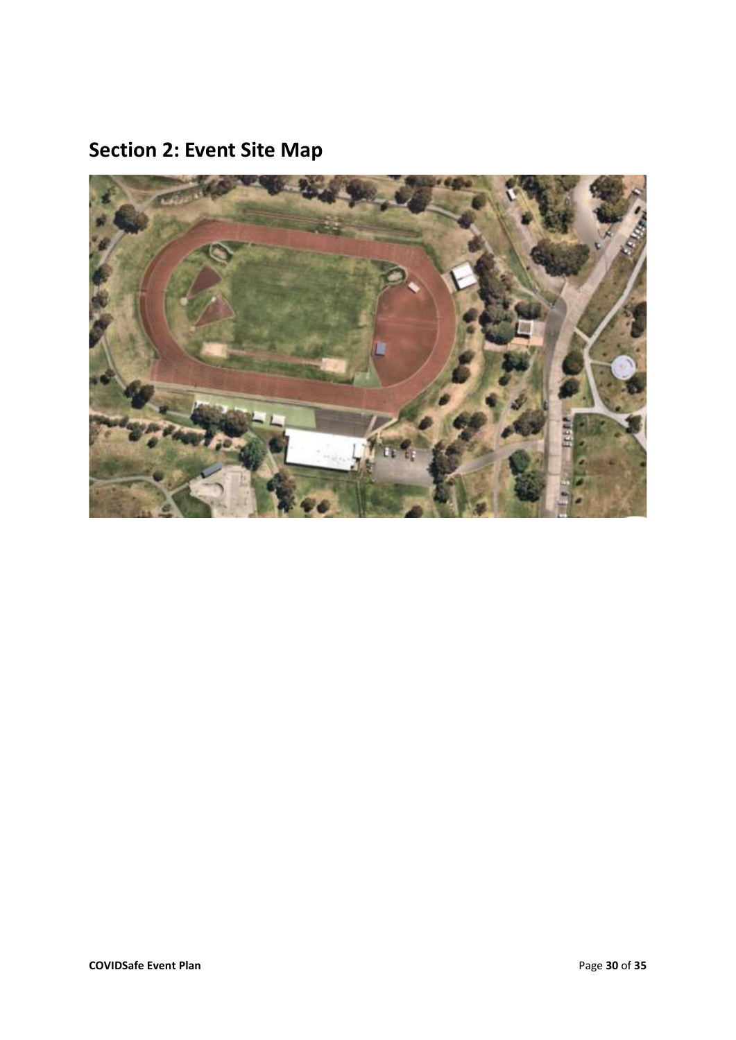**Section 2: Event Site Map**

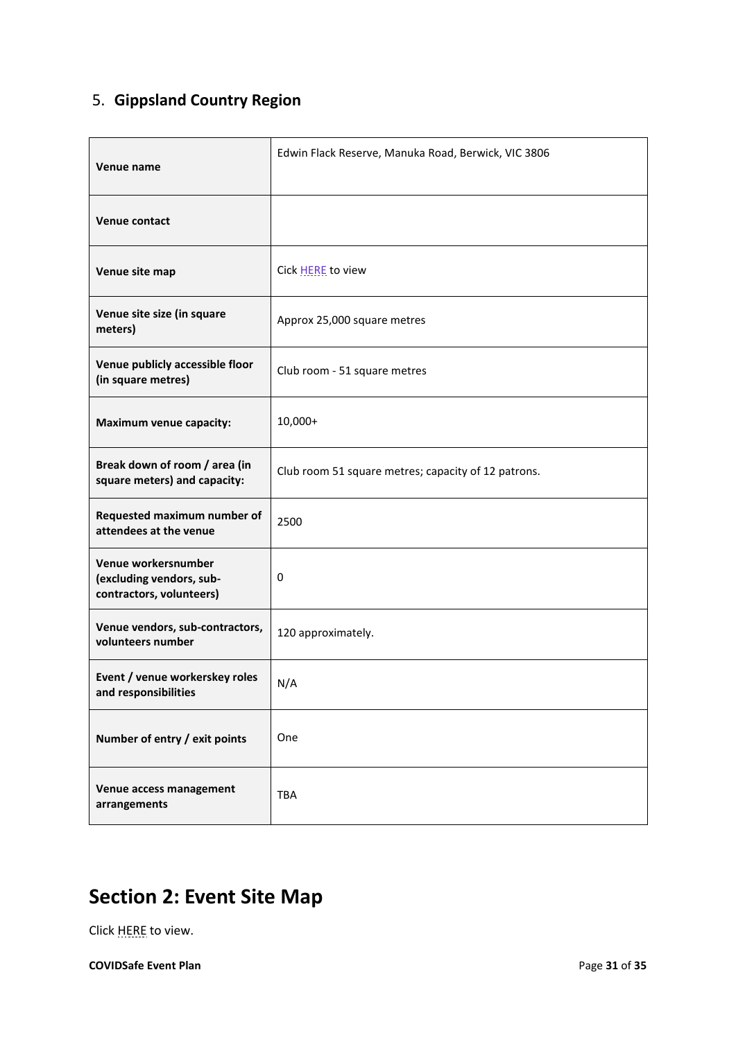## 5. **Gippsland Country Region**

| Venue name                                                                  | Edwin Flack Reserve, Manuka Road, Berwick, VIC 3806 |
|-----------------------------------------------------------------------------|-----------------------------------------------------|
| Venue contact                                                               |                                                     |
| Venue site map                                                              | Cick HERE to view                                   |
| Venue site size (in square<br>meters)                                       | Approx 25,000 square metres                         |
| Venue publicly accessible floor<br>(in square metres)                       | Club room - 51 square metres                        |
| <b>Maximum venue capacity:</b>                                              | 10,000+                                             |
| Break down of room / area (in<br>square meters) and capacity:               | Club room 51 square metres; capacity of 12 patrons. |
| Requested maximum number of<br>attendees at the venue                       | 2500                                                |
| Venue workersnumber<br>(excluding vendors, sub-<br>contractors, volunteers) | 0                                                   |
| Venue vendors, sub-contractors,<br>volunteers number                        | 120 approximately.                                  |
| Event / venue workerskey roles<br>and responsibilities                      | N/A                                                 |
| Number of entry / exit points                                               | One                                                 |
| Venue access management<br>arrangements                                     | <b>TBA</b>                                          |

## **Section 2: Event Site Map**

Click [HERE](https://drive.google.com/file/d/1ATvvvJugz6LikMm6KAB0rLVAY7MspOx7/view?usp=sharing) to view.

**COVIDSafe Event Plan** Page **31** of **35**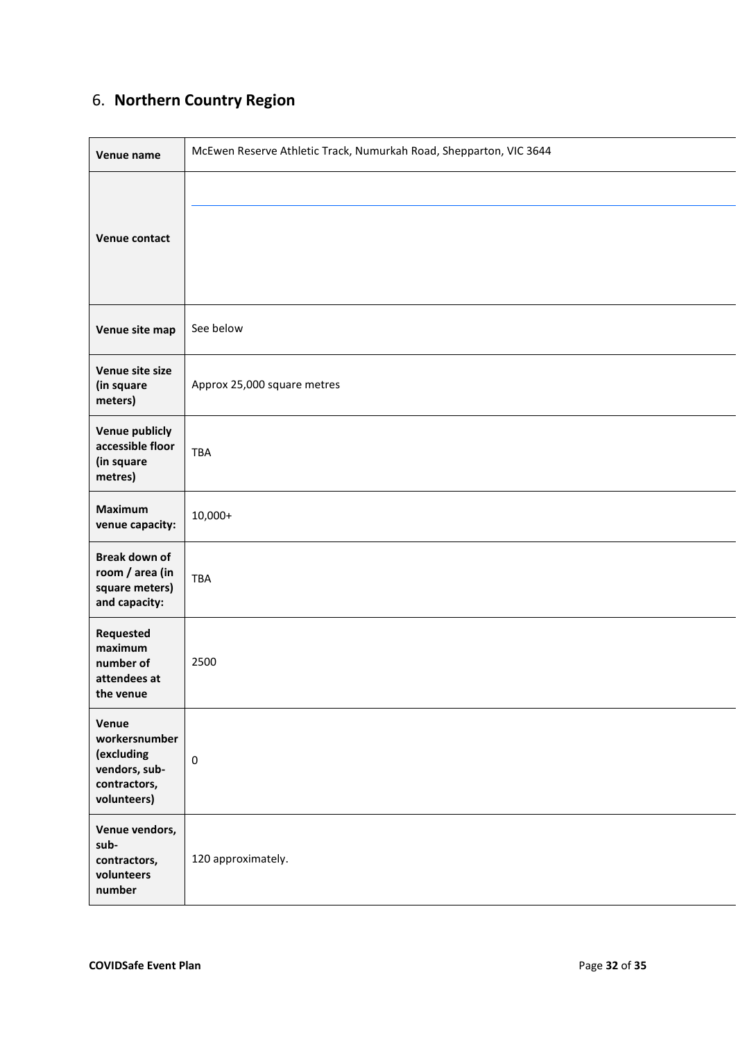## 6. **Northern Country Region**

| Venue name                                                                           | McEwen Reserve Athletic Track, Numurkah Road, Shepparton, VIC 3644 |
|--------------------------------------------------------------------------------------|--------------------------------------------------------------------|
| <b>Venue contact</b>                                                                 |                                                                    |
| Venue site map                                                                       | See below                                                          |
| Venue site size<br>(in square<br>meters)                                             | Approx 25,000 square metres                                        |
| <b>Venue publicly</b><br>accessible floor<br>(in square<br>metres)                   | <b>TBA</b>                                                         |
| <b>Maximum</b><br>venue capacity:                                                    | $10,000+$                                                          |
| <b>Break down of</b><br>room / area (in<br>square meters)<br>and capacity:           | <b>TBA</b>                                                         |
| Requested<br>maximum<br>number of<br>attendees at<br>the venue                       | 2500                                                               |
| Venue<br>workersnumber<br>(excluding<br>vendors, sub-<br>contractors,<br>volunteers) | $\pmb{0}$                                                          |
| Venue vendors,<br>sub-<br>contractors,<br>volunteers<br>number                       | 120 approximately.                                                 |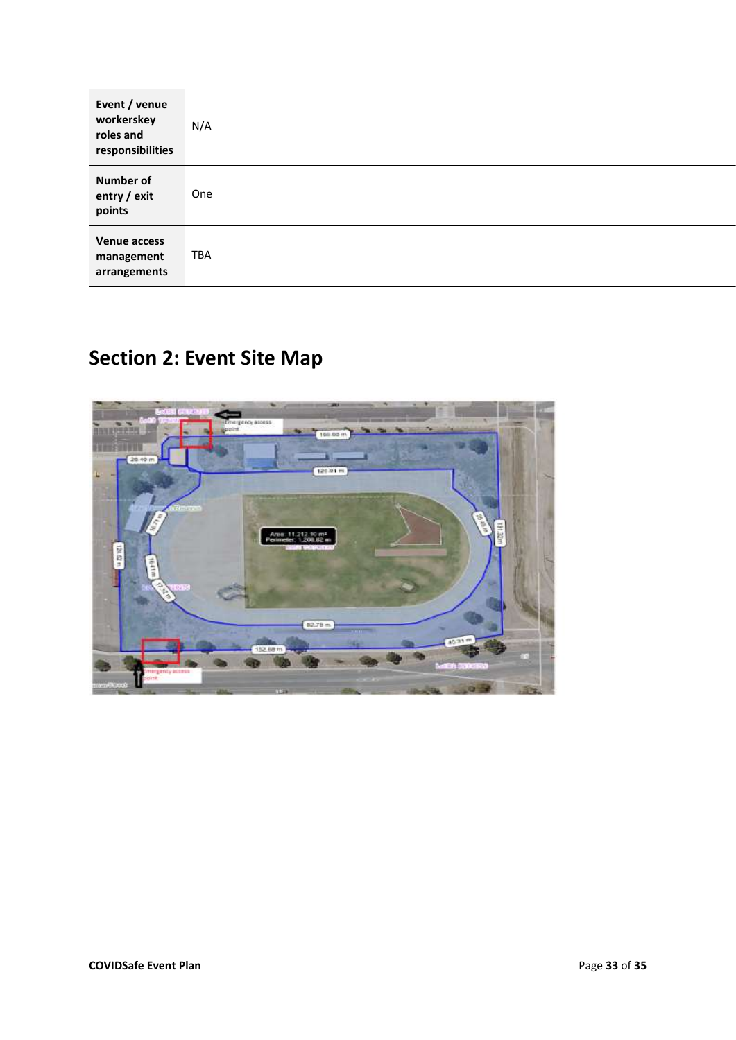| Event / venue<br>workerskey<br>roles and<br>responsibilities | N/A        |
|--------------------------------------------------------------|------------|
| <b>Number of</b><br>entry / exit<br>points                   | One        |
| <b>Venue access</b><br>management<br>arrangements            | <b>TBA</b> |

# **Section 2: Event Site Map**

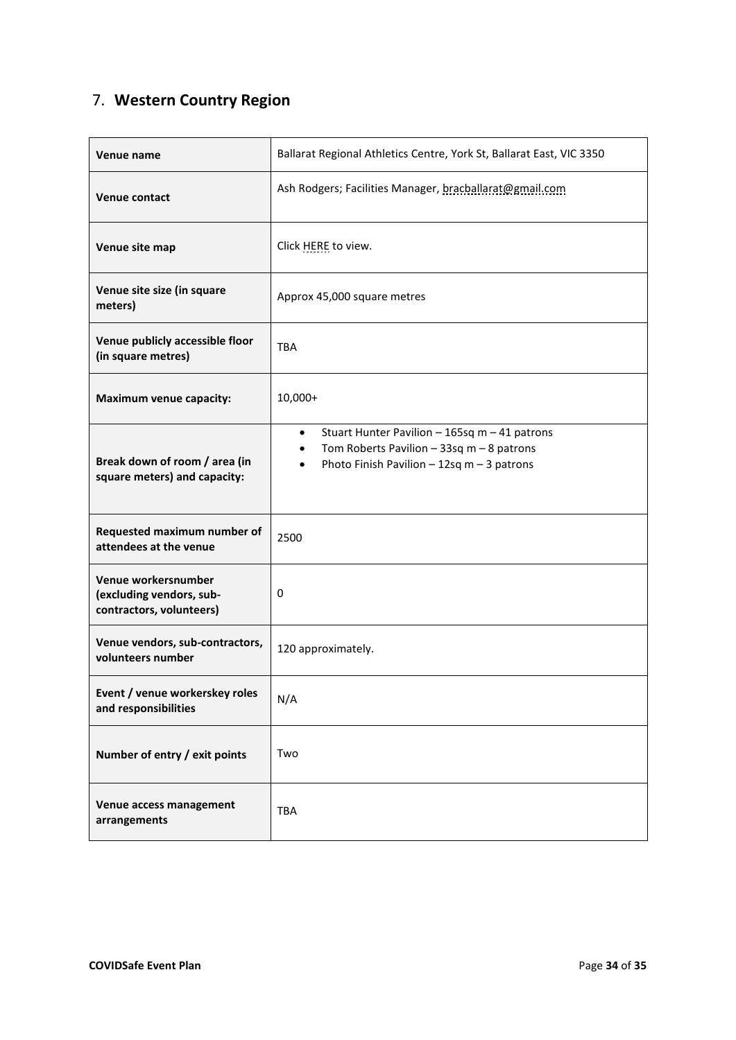## 7. **Western Country Region**

| Venue name                                                                  | Ballarat Regional Athletics Centre, York St, Ballarat East, VIC 3350                                                                                       |
|-----------------------------------------------------------------------------|------------------------------------------------------------------------------------------------------------------------------------------------------------|
| <b>Venue contact</b>                                                        | Ash Rodgers; Facilities Manager, bracballarat@gmail.com                                                                                                    |
| Venue site map                                                              | Click HERE to view.                                                                                                                                        |
| Venue site size (in square<br>meters)                                       | Approx 45,000 square metres                                                                                                                                |
| Venue publicly accessible floor<br>(in square metres)                       | <b>TBA</b>                                                                                                                                                 |
| Maximum venue capacity:                                                     | 10,000+                                                                                                                                                    |
| Break down of room / area (in<br>square meters) and capacity:               | Stuart Hunter Pavilion - 165sq m - 41 patrons<br>$\bullet$<br>Tom Roberts Pavilion $-33sq$ m $-8$ patrons<br>Photo Finish Pavilion $-12$ sq m $-3$ patrons |
| Requested maximum number of<br>attendees at the venue                       | 2500                                                                                                                                                       |
| Venue workersnumber<br>(excluding vendors, sub-<br>contractors, volunteers) | 0                                                                                                                                                          |
| Venue vendors, sub-contractors,<br>volunteers number                        | 120 approximately.                                                                                                                                         |
| Event / venue workerskey roles<br>and responsibilities                      | N/A                                                                                                                                                        |
| Number of entry / exit points                                               | Two                                                                                                                                                        |
| Venue access management<br>arrangements                                     | <b>TBA</b>                                                                                                                                                 |